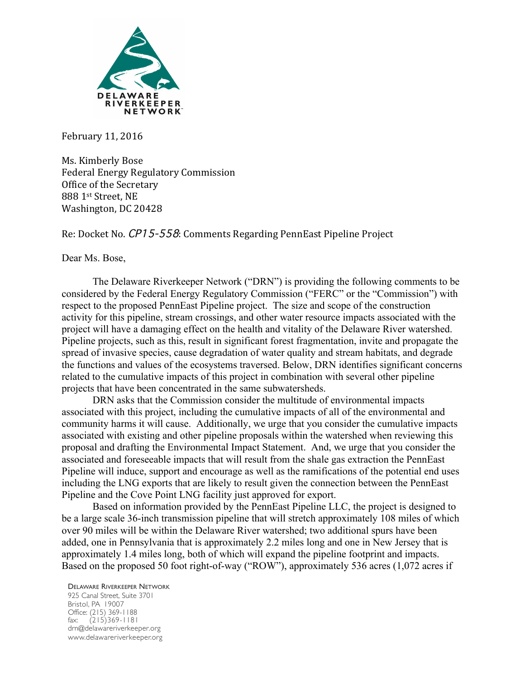

February 11, 2016

Ms. Kimberly Bose Federal Energy Regulatory Commission Office of the Secretary 888 1st Street, NE Washington, DC 20428

Re: Docket No. CP15-558: Comments Regarding PennEast Pipeline Project

Dear Ms. Bose,

The Delaware Riverkeeper Network ("DRN") is providing the following comments to be considered by the Federal Energy Regulatory Commission ("FERC" or the "Commission") with respect to the proposed PennEast Pipeline project. The size and scope of the construction activity for this pipeline, stream crossings, and other water resource impacts associated with the project will have a damaging effect on the health and vitality of the Delaware River watershed. Pipeline projects, such as this, result in significant forest fragmentation, invite and propagate the spread of invasive species, cause degradation of water quality and stream habitats, and degrade the functions and values of the ecosystems traversed. Below, DRN identifies significant concerns related to the cumulative impacts of this project in combination with several other pipeline projects that have been concentrated in the same subwatersheds.

DRN asks that the Commission consider the multitude of environmental impacts associated with this project, including the cumulative impacts of all of the environmental and community harms it will cause. Additionally, we urge that you consider the cumulative impacts associated with existing and other pipeline proposals within the watershed when reviewing this proposal and drafting the Environmental Impact Statement. And, we urge that you consider the associated and foreseeable impacts that will result from the shale gas extraction the PennEast Pipeline will induce, support and encourage as well as the ramifications of the potential end uses including the LNG exports that are likely to result given the connection between the PennEast Pipeline and the Cove Point LNG facility just approved for export.

Based on information provided by the PennEast Pipeline LLC, the project is designed to be a large scale 36-inch transmission pipeline that will stretch approximately 108 miles of which over 90 miles will be within the Delaware River watershed; two additional spurs have been added, one in Pennsylvania that is approximately 2.2 miles long and one in New Jersey that is approximately 1.4 miles long, both of which will expand the pipeline footprint and impacts. Based on the proposed 50 foot right-of-way ("ROW"), approximately 536 acres (1,072 acres if

DELAWARE RIVERKEEPER NETWORK 925 Canal Street, Suite 3701 Bristol, PA 19007 Office: (215) 369-1188 fax: (215)369-1181 drn@delawareriverkeeper.org www.delawareriverkeeper.org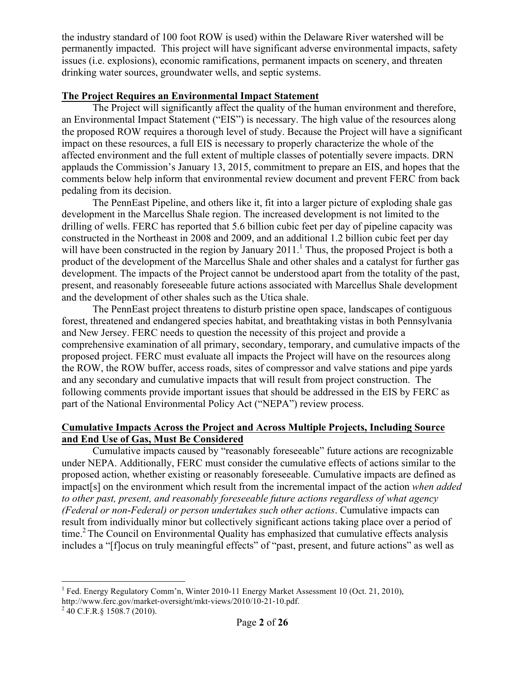the industry standard of 100 foot ROW is used) within the Delaware River watershed will be permanently impacted. This project will have significant adverse environmental impacts, safety issues (i.e. explosions), economic ramifications, permanent impacts on scenery, and threaten drinking water sources, groundwater wells, and septic systems.

# **The Project Requires an Environmental Impact Statement**

The Project will significantly affect the quality of the human environment and therefore, an Environmental Impact Statement ("EIS") is necessary. The high value of the resources along the proposed ROW requires a thorough level of study. Because the Project will have a significant impact on these resources, a full EIS is necessary to properly characterize the whole of the affected environment and the full extent of multiple classes of potentially severe impacts. DRN applauds the Commission's January 13, 2015, commitment to prepare an EIS, and hopes that the comments below help inform that environmental review document and prevent FERC from back pedaling from its decision.

The PennEast Pipeline, and others like it, fit into a larger picture of exploding shale gas development in the Marcellus Shale region. The increased development is not limited to the drilling of wells. FERC has reported that 5.6 billion cubic feet per day of pipeline capacity was constructed in the Northeast in 2008 and 2009, and an additional 1.2 billion cubic feet per day will have been constructed in the region by January  $2011<sup>1</sup>$ . Thus, the proposed Project is both a product of the development of the Marcellus Shale and other shales and a catalyst for further gas development. The impacts of the Project cannot be understood apart from the totality of the past, present, and reasonably foreseeable future actions associated with Marcellus Shale development and the development of other shales such as the Utica shale.

The PennEast project threatens to disturb pristine open space, landscapes of contiguous forest, threatened and endangered species habitat, and breathtaking vistas in both Pennsylvania and New Jersey. FERC needs to question the necessity of this project and provide a comprehensive examination of all primary, secondary, temporary, and cumulative impacts of the proposed project. FERC must evaluate all impacts the Project will have on the resources along the ROW, the ROW buffer, access roads, sites of compressor and valve stations and pipe yards and any secondary and cumulative impacts that will result from project construction. The following comments provide important issues that should be addressed in the EIS by FERC as part of the National Environmental Policy Act ("NEPA") review process.

# **Cumulative Impacts Across the Project and Across Multiple Projects, Including Source and End Use of Gas, Must Be Considered**

Cumulative impacts caused by "reasonably foreseeable" future actions are recognizable under NEPA. Additionally, FERC must consider the cumulative effects of actions similar to the proposed action, whether existing or reasonably foreseeable. Cumulative impacts are defined as impact[s] on the environment which result from the incremental impact of the action *when added to other past, present, and reasonably foreseeable future actions regardless of what agency (Federal or non*-*Federal) or person undertakes such other actions*. Cumulative impacts can result from individually minor but collectively significant actions taking place over a period of time.<sup>2</sup> The Council on Environmental Quality has emphasized that cumulative effects analysis includes a "[f]ocus on truly meaningful effects" of "past, present, and future actions" as well as

<sup>&</sup>lt;sup>1</sup> Fed. Energy Regulatory Comm'n, Winter 2010-11 Energy Market Assessment 10 (Oct. 21, 2010), http://www.ferc.gov/market-oversight/mkt-views/2010/10-21-10.pdf. <sup>2</sup> 40 C.F.R.§ 1508.7 (2010).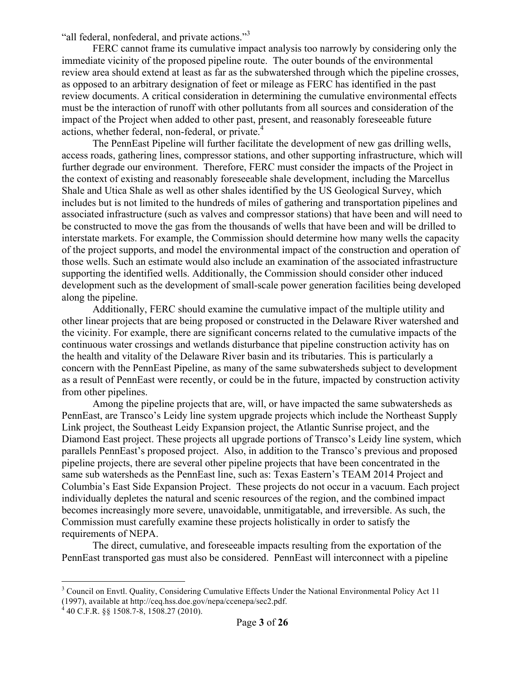"all federal, nonfederal, and private actions."<sup>3</sup>

FERC cannot frame its cumulative impact analysis too narrowly by considering only the immediate vicinity of the proposed pipeline route. The outer bounds of the environmental review area should extend at least as far as the subwatershed through which the pipeline crosses, as opposed to an arbitrary designation of feet or mileage as FERC has identified in the past review documents. A critical consideration in determining the cumulative environmental effects must be the interaction of runoff with other pollutants from all sources and consideration of the impact of the Project when added to other past, present, and reasonably foreseeable future actions, whether federal, non-federal, or private.<sup>4</sup>

The PennEast Pipeline will further facilitate the development of new gas drilling wells, access roads, gathering lines, compressor stations, and other supporting infrastructure, which will further degrade our environment. Therefore, FERC must consider the impacts of the Project in the context of existing and reasonably foreseeable shale development, including the Marcellus Shale and Utica Shale as well as other shales identified by the US Geological Survey, which includes but is not limited to the hundreds of miles of gathering and transportation pipelines and associated infrastructure (such as valves and compressor stations) that have been and will need to be constructed to move the gas from the thousands of wells that have been and will be drilled to interstate markets. For example, the Commission should determine how many wells the capacity of the project supports, and model the environmental impact of the construction and operation of those wells. Such an estimate would also include an examination of the associated infrastructure supporting the identified wells. Additionally, the Commission should consider other induced development such as the development of small-scale power generation facilities being developed along the pipeline.

Additionally, FERC should examine the cumulative impact of the multiple utility and other linear projects that are being proposed or constructed in the Delaware River watershed and the vicinity. For example, there are significant concerns related to the cumulative impacts of the continuous water crossings and wetlands disturbance that pipeline construction activity has on the health and vitality of the Delaware River basin and its tributaries. This is particularly a concern with the PennEast Pipeline, as many of the same subwatersheds subject to development as a result of PennEast were recently, or could be in the future, impacted by construction activity from other pipelines.

Among the pipeline projects that are, will, or have impacted the same subwatersheds as PennEast, are Transco's Leidy line system upgrade projects which include the Northeast Supply Link project, the Southeast Leidy Expansion project, the Atlantic Sunrise project, and the Diamond East project. These projects all upgrade portions of Transco's Leidy line system, which parallels PennEast's proposed project. Also, in addition to the Transco's previous and proposed pipeline projects, there are several other pipeline projects that have been concentrated in the same sub watersheds as the PennEast line, such as: Texas Eastern's TEAM 2014 Project and Columbia's East Side Expansion Project. These projects do not occur in a vacuum. Each project individually depletes the natural and scenic resources of the region, and the combined impact becomes increasingly more severe, unavoidable, unmitigatable, and irreversible. As such, the Commission must carefully examine these projects holistically in order to satisfy the requirements of NEPA.

The direct, cumulative, and foreseeable impacts resulting from the exportation of the PennEast transported gas must also be considered. PennEast will interconnect with a pipeline

<sup>&</sup>lt;sup>3</sup> Council on Envtl. Quality, Considering Cumulative Effects Under the National Environmental Policy Act 11 (1997), available at http://ceq.hss.doe.gov/nepa/ccenepa/sec2.pdf.

 $440$  C.F.R. §§ 1508.7-8, 1508.27 (2010).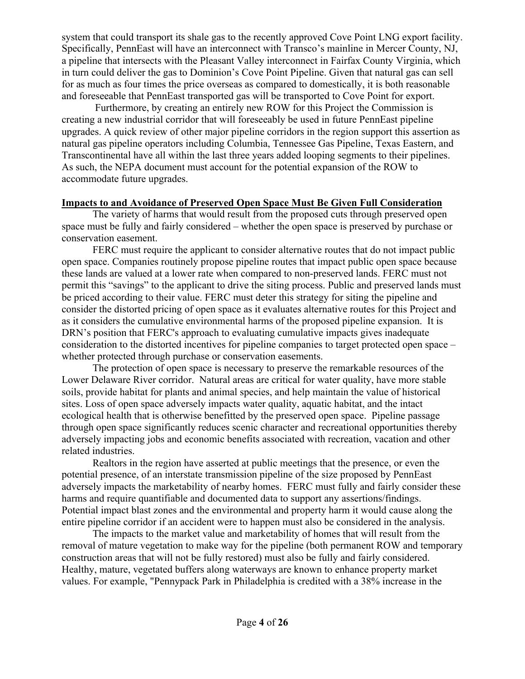system that could transport its shale gas to the recently approved Cove Point LNG export facility. Specifically, PennEast will have an interconnect with Transco's mainline in Mercer County, NJ, a pipeline that intersects with the Pleasant Valley interconnect in Fairfax County Virginia, which in turn could deliver the gas to Dominion's Cove Point Pipeline. Given that natural gas can sell for as much as four times the price overseas as compared to domestically, it is both reasonable and foreseeable that PennEast transported gas will be transported to Cove Point for export.

Furthermore, by creating an entirely new ROW for this Project the Commission is creating a new industrial corridor that will foreseeably be used in future PennEast pipeline upgrades. A quick review of other major pipeline corridors in the region support this assertion as natural gas pipeline operators including Columbia, Tennessee Gas Pipeline, Texas Eastern, and Transcontinental have all within the last three years added looping segments to their pipelines. As such, the NEPA document must account for the potential expansion of the ROW to accommodate future upgrades.

### **Impacts to and Avoidance of Preserved Open Space Must Be Given Full Consideration**

The variety of harms that would result from the proposed cuts through preserved open space must be fully and fairly considered – whether the open space is preserved by purchase or conservation easement.

FERC must require the applicant to consider alternative routes that do not impact public open space. Companies routinely propose pipeline routes that impact public open space because these lands are valued at a lower rate when compared to non-preserved lands. FERC must not permit this "savings" to the applicant to drive the siting process. Public and preserved lands must be priced according to their value. FERC must deter this strategy for siting the pipeline and consider the distorted pricing of open space as it evaluates alternative routes for this Project and as it considers the cumulative environmental harms of the proposed pipeline expansion. It is DRN's position that FERC's approach to evaluating cumulative impacts gives inadequate consideration to the distorted incentives for pipeline companies to target protected open space – whether protected through purchase or conservation easements.

The protection of open space is necessary to preserve the remarkable resources of the Lower Delaware River corridor. Natural areas are critical for water quality, have more stable soils, provide habitat for plants and animal species, and help maintain the value of historical sites. Loss of open space adversely impacts water quality, aquatic habitat, and the intact ecological health that is otherwise benefitted by the preserved open space. Pipeline passage through open space significantly reduces scenic character and recreational opportunities thereby adversely impacting jobs and economic benefits associated with recreation, vacation and other related industries.

Realtors in the region have asserted at public meetings that the presence, or even the potential presence, of an interstate transmission pipeline of the size proposed by PennEast adversely impacts the marketability of nearby homes. FERC must fully and fairly consider these harms and require quantifiable and documented data to support any assertions/findings. Potential impact blast zones and the environmental and property harm it would cause along the entire pipeline corridor if an accident were to happen must also be considered in the analysis.

The impacts to the market value and marketability of homes that will result from the removal of mature vegetation to make way for the pipeline (both permanent ROW and temporary construction areas that will not be fully restored) must also be fully and fairly considered. Healthy, mature, vegetated buffers along waterways are known to enhance property market values. For example, "Pennypack Park in Philadelphia is credited with a 38% increase in the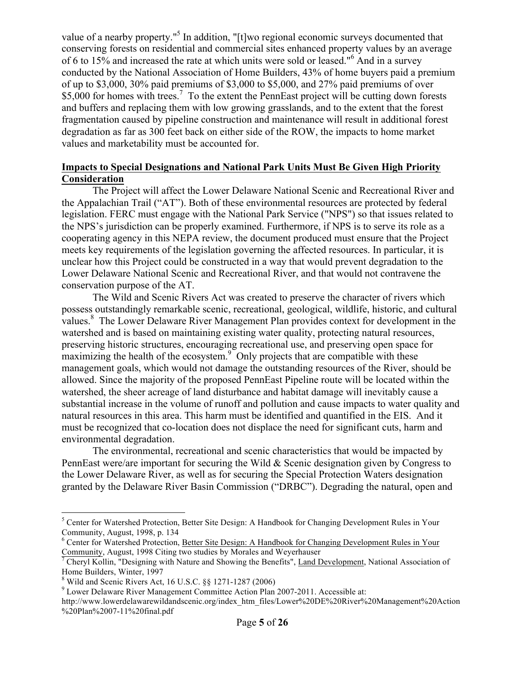value of a nearby property."<sup>5</sup> In addition, "[t]wo regional economic surveys documented that conserving forests on residential and commercial sites enhanced property values by an average of 6 to 15% and increased the rate at which units were sold or leased."<sup>6</sup> And in a survey conducted by the National Association of Home Builders, 43% of home buyers paid a premium of up to \$3,000, 30% paid premiums of \$3,000 to \$5,000, and 27% paid premiums of over \$5,000 for homes with trees.<sup>7</sup> To the extent the PennEast project will be cutting down forests and buffers and replacing them with low growing grasslands, and to the extent that the forest fragmentation caused by pipeline construction and maintenance will result in additional forest degradation as far as 300 feet back on either side of the ROW, the impacts to home market values and marketability must be accounted for.

# **Impacts to Special Designations and National Park Units Must Be Given High Priority Consideration**

The Project will affect the Lower Delaware National Scenic and Recreational River and the Appalachian Trail ("AT"). Both of these environmental resources are protected by federal legislation. FERC must engage with the National Park Service ("NPS") so that issues related to the NPS's jurisdiction can be properly examined. Furthermore, if NPS is to serve its role as a cooperating agency in this NEPA review, the document produced must ensure that the Project meets key requirements of the legislation governing the affected resources. In particular, it is unclear how this Project could be constructed in a way that would prevent degradation to the Lower Delaware National Scenic and Recreational River, and that would not contravene the conservation purpose of the AT.

The Wild and Scenic Rivers Act was created to preserve the character of rivers which possess outstandingly remarkable scenic, recreational, geological, wildlife, historic, and cultural values.<sup>8</sup> The Lower Delaware River Management Plan provides context for development in the watershed and is based on maintaining existing water quality, protecting natural resources, preserving historic structures, encouraging recreational use, and preserving open space for maximizing the health of the ecosystem.<sup>9</sup> Only projects that are compatible with these management goals, which would not damage the outstanding resources of the River, should be allowed. Since the majority of the proposed PennEast Pipeline route will be located within the watershed, the sheer acreage of land disturbance and habitat damage will inevitably cause a substantial increase in the volume of runoff and pollution and cause impacts to water quality and natural resources in this area. This harm must be identified and quantified in the EIS. And it must be recognized that co-location does not displace the need for significant cuts, harm and environmental degradation.

The environmental, recreational and scenic characteristics that would be impacted by PennEast were/are important for securing the Wild & Scenic designation given by Congress to the Lower Delaware River, as well as for securing the Special Protection Waters designation granted by the Delaware River Basin Commission ("DRBC"). Degrading the natural, open and

<sup>5</sup> Center for Watershed Protection, Better Site Design: A Handbook for Changing Development Rules in Your Community, August, 1998, p. 134

 $6$  Center for Watershed Protection, Better Site Design: A Handbook for Changing Development Rules in Your Community, August, 1998 Citing two studies by Morales and Weyerhauser

<sup>&</sup>lt;sup>7</sup> Cheryl Kollin, "Designing with Nature and Showing the Benefits", Land Development, National Association of Home Builders, Winter, 1997<br><sup>8</sup> Wild and Scenic Rivers Act, 16 U.S.C. §§ 1271-1287 (2006)

 $9$  Lower Delaware River Management Committee Action Plan 2007-2011. Accessible at:

http://www.lowerdelawarewildandscenic.org/index\_htm\_files/Lower%20DE%20River%20Management%20Action %20Plan%2007-11%20final.pdf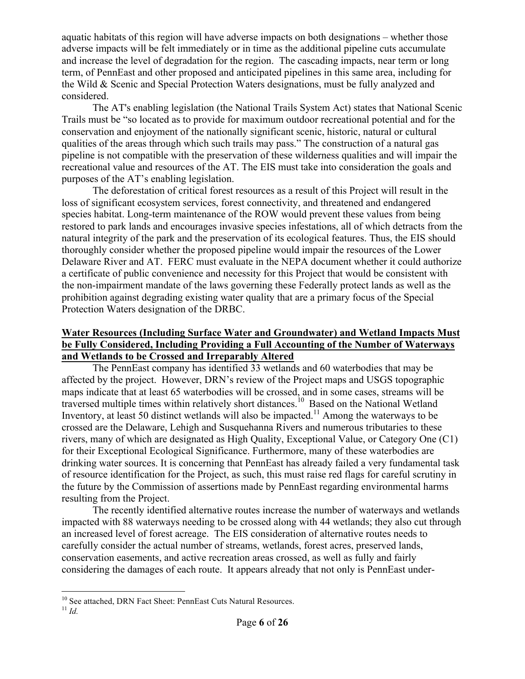aquatic habitats of this region will have adverse impacts on both designations – whether those adverse impacts will be felt immediately or in time as the additional pipeline cuts accumulate and increase the level of degradation for the region. The cascading impacts, near term or long term, of PennEast and other proposed and anticipated pipelines in this same area, including for the Wild & Scenic and Special Protection Waters designations, must be fully analyzed and considered.

The AT's enabling legislation (the National Trails System Act) states that National Scenic Trails must be "so located as to provide for maximum outdoor recreational potential and for the conservation and enjoyment of the nationally significant scenic, historic, natural or cultural qualities of the areas through which such trails may pass." The construction of a natural gas pipeline is not compatible with the preservation of these wilderness qualities and will impair the recreational value and resources of the AT. The EIS must take into consideration the goals and purposes of the AT's enabling legislation.

The deforestation of critical forest resources as a result of this Project will result in the loss of significant ecosystem services, forest connectivity, and threatened and endangered species habitat. Long-term maintenance of the ROW would prevent these values from being restored to park lands and encourages invasive species infestations, all of which detracts from the natural integrity of the park and the preservation of its ecological features. Thus, the EIS should thoroughly consider whether the proposed pipeline would impair the resources of the Lower Delaware River and AT. FERC must evaluate in the NEPA document whether it could authorize a certificate of public convenience and necessity for this Project that would be consistent with the non-impairment mandate of the laws governing these Federally protect lands as well as the prohibition against degrading existing water quality that are a primary focus of the Special Protection Waters designation of the DRBC.

# **Water Resources (Including Surface Water and Groundwater) and Wetland Impacts Must be Fully Considered, Including Providing a Full Accounting of the Number of Waterways and Wetlands to be Crossed and Irreparably Altered**

The PennEast company has identified 33 wetlands and 60 waterbodies that may be affected by the project. However, DRN's review of the Project maps and USGS topographic maps indicate that at least 65 waterbodies will be crossed, and in some cases, streams will be traversed multiple times within relatively short distances.<sup>10</sup> Based on the National Wetland Inventory, at least 50 distinct wetlands will also be impacted.<sup>11</sup> Among the waterways to be crossed are the Delaware, Lehigh and Susquehanna Rivers and numerous tributaries to these rivers, many of which are designated as High Quality, Exceptional Value, or Category One (C1) for their Exceptional Ecological Significance. Furthermore, many of these waterbodies are drinking water sources. It is concerning that PennEast has already failed a very fundamental task of resource identification for the Project, as such, this must raise red flags for careful scrutiny in the future by the Commission of assertions made by PennEast regarding environmental harms resulting from the Project.

The recently identified alternative routes increase the number of waterways and wetlands impacted with 88 waterways needing to be crossed along with 44 wetlands; they also cut through an increased level of forest acreage. The EIS consideration of alternative routes needs to carefully consider the actual number of streams, wetlands, forest acres, preserved lands, conservation easements, and active recreation areas crossed, as well as fully and fairly considering the damages of each route. It appears already that not only is PennEast under-

<sup>&</sup>lt;sup>10</sup> See attached, DRN Fact Sheet: PennEast Cuts Natural Resources.<sup>11</sup> *Id*.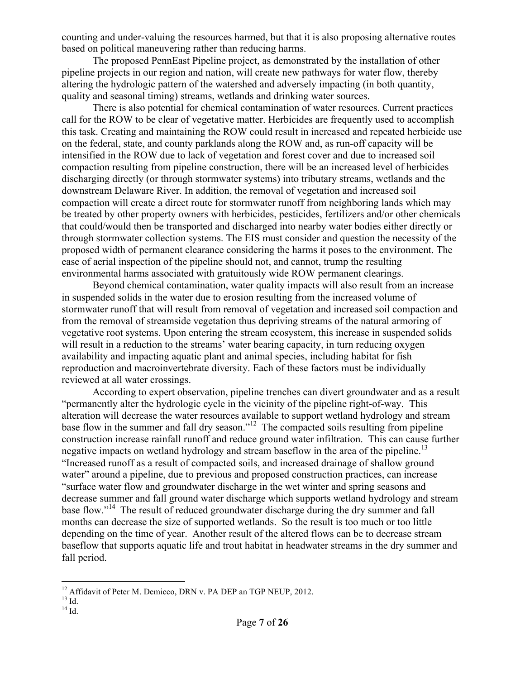counting and under-valuing the resources harmed, but that it is also proposing alternative routes based on political maneuvering rather than reducing harms.

The proposed PennEast Pipeline project, as demonstrated by the installation of other pipeline projects in our region and nation, will create new pathways for water flow, thereby altering the hydrologic pattern of the watershed and adversely impacting (in both quantity, quality and seasonal timing) streams, wetlands and drinking water sources.

There is also potential for chemical contamination of water resources. Current practices call for the ROW to be clear of vegetative matter. Herbicides are frequently used to accomplish this task. Creating and maintaining the ROW could result in increased and repeated herbicide use on the federal, state, and county parklands along the ROW and, as run-off capacity will be intensified in the ROW due to lack of vegetation and forest cover and due to increased soil compaction resulting from pipeline construction, there will be an increased level of herbicides discharging directly (or through stormwater systems) into tributary streams, wetlands and the downstream Delaware River. In addition, the removal of vegetation and increased soil compaction will create a direct route for stormwater runoff from neighboring lands which may be treated by other property owners with herbicides, pesticides, fertilizers and/or other chemicals that could/would then be transported and discharged into nearby water bodies either directly or through stormwater collection systems. The EIS must consider and question the necessity of the proposed width of permanent clearance considering the harms it poses to the environment. The ease of aerial inspection of the pipeline should not, and cannot, trump the resulting environmental harms associated with gratuitously wide ROW permanent clearings.

Beyond chemical contamination, water quality impacts will also result from an increase in suspended solids in the water due to erosion resulting from the increased volume of stormwater runoff that will result from removal of vegetation and increased soil compaction and from the removal of streamside vegetation thus depriving streams of the natural armoring of vegetative root systems. Upon entering the stream ecosystem, this increase in suspended solids will result in a reduction to the streams' water bearing capacity, in turn reducing oxygen availability and impacting aquatic plant and animal species, including habitat for fish reproduction and macroinvertebrate diversity. Each of these factors must be individually reviewed at all water crossings.

According to expert observation, pipeline trenches can divert groundwater and as a result "permanently alter the hydrologic cycle in the vicinity of the pipeline right-of-way. This alteration will decrease the water resources available to support wetland hydrology and stream base flow in the summer and fall dry season."<sup>12</sup> The compacted soils resulting from pipeline construction increase rainfall runoff and reduce ground water infiltration. This can cause further negative impacts on wetland hydrology and stream baseflow in the area of the pipeline.<sup>13</sup> "Increased runoff as a result of compacted soils, and increased drainage of shallow ground water" around a pipeline, due to previous and proposed construction practices, can increase "surface water flow and groundwater discharge in the wet winter and spring seasons and decrease summer and fall ground water discharge which supports wetland hydrology and stream base flow."14 The result of reduced groundwater discharge during the dry summer and fall months can decrease the size of supported wetlands. So the result is too much or too little depending on the time of year. Another result of the altered flows can be to decrease stream baseflow that supports aquatic life and trout habitat in headwater streams in the dry summer and fall period.

<sup>&</sup>lt;sup>12</sup> Affidavit of Peter M. Demicco, DRN v. PA DEP an TGP NEUP, 2012.<br><sup>13</sup> Id. <sup>14</sup> Id.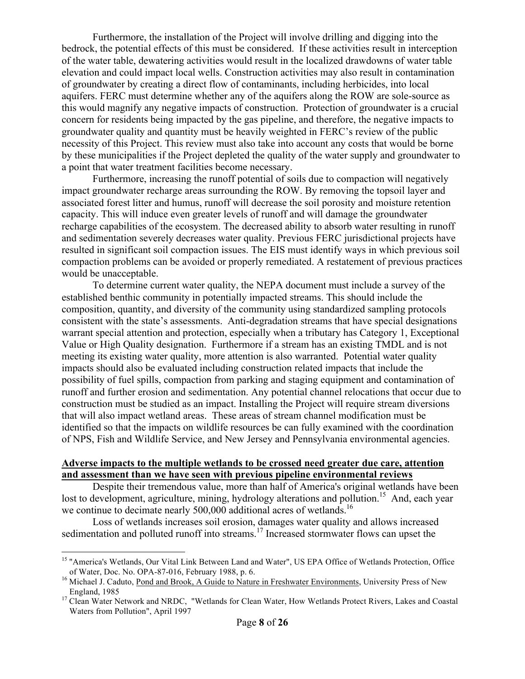Furthermore, the installation of the Project will involve drilling and digging into the bedrock, the potential effects of this must be considered. If these activities result in interception of the water table, dewatering activities would result in the localized drawdowns of water table elevation and could impact local wells. Construction activities may also result in contamination of groundwater by creating a direct flow of contaminants, including herbicides, into local aquifers. FERC must determine whether any of the aquifers along the ROW are sole-source as this would magnify any negative impacts of construction. Protection of groundwater is a crucial concern for residents being impacted by the gas pipeline, and therefore, the negative impacts to groundwater quality and quantity must be heavily weighted in FERC's review of the public necessity of this Project. This review must also take into account any costs that would be borne by these municipalities if the Project depleted the quality of the water supply and groundwater to a point that water treatment facilities become necessary.

Furthermore, increasing the runoff potential of soils due to compaction will negatively impact groundwater recharge areas surrounding the ROW. By removing the topsoil layer and associated forest litter and humus, runoff will decrease the soil porosity and moisture retention capacity. This will induce even greater levels of runoff and will damage the groundwater recharge capabilities of the ecosystem. The decreased ability to absorb water resulting in runoff and sedimentation severely decreases water quality. Previous FERC jurisdictional projects have resulted in significant soil compaction issues. The EIS must identify ways in which previous soil compaction problems can be avoided or properly remediated. A restatement of previous practices would be unacceptable.

To determine current water quality, the NEPA document must include a survey of the established benthic community in potentially impacted streams. This should include the composition, quantity, and diversity of the community using standardized sampling protocols consistent with the state's assessments. Anti-degradation streams that have special designations warrant special attention and protection, especially when a tributary has Category 1, Exceptional Value or High Quality designation. Furthermore if a stream has an existing TMDL and is not meeting its existing water quality, more attention is also warranted. Potential water quality impacts should also be evaluated including construction related impacts that include the possibility of fuel spills, compaction from parking and staging equipment and contamination of runoff and further erosion and sedimentation. Any potential channel relocations that occur due to construction must be studied as an impact. Installing the Project will require stream diversions that will also impact wetland areas. These areas of stream channel modification must be identified so that the impacts on wildlife resources be can fully examined with the coordination of NPS, Fish and Wildlife Service, and New Jersey and Pennsylvania environmental agencies.

#### **Adverse impacts to the multiple wetlands to be crossed need greater due care, attention and assessment than we have seen with previous pipeline environmental reviews**

Despite their tremendous value, more than half of America's original wetlands have been lost to development, agriculture, mining, hydrology alterations and pollution.<sup>15</sup> And, each year we continue to decimate nearly 500,000 additional acres of wetlands.<sup>16</sup>

Loss of wetlands increases soil erosion, damages water quality and allows increased sedimentation and polluted runoff into streams.<sup>17</sup> Increased stormwater flows can upset the

<sup>&</sup>lt;sup>15</sup> "America's Wetlands, Our Vital Link Between Land and Water", US EPA Office of Wetlands Protection, Office

of Water, Doc. No. OPA-87-016, February 1988, p. 6.<br><sup>16</sup> Michael J. Caduto, <u>Pond and Brook, A Guide to Nature in Freshwater Environments</u>, University Press of New<br>England, 1985

<sup>&</sup>lt;sup>17</sup> Clean Water Network and NRDC, "Wetlands for Clean Water, How Wetlands Protect Rivers, Lakes and Coastal Waters from Pollution", April 1997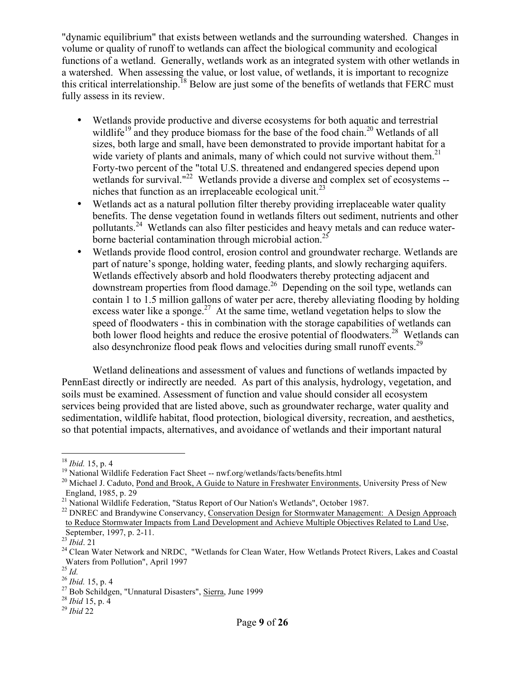"dynamic equilibrium" that exists between wetlands and the surrounding watershed. Changes in volume or quality of runoff to wetlands can affect the biological community and ecological functions of a wetland. Generally, wetlands work as an integrated system with other wetlands in a watershed. When assessing the value, or lost value, of wetlands, it is important to recognize this critical interrelationship.<sup>18</sup> Below are just some of the benefits of wetlands that FERC must fully assess in its review.

- Wetlands provide productive and diverse ecosystems for both aquatic and terrestrial wildlife<sup>19</sup> and they produce biomass for the base of the food chain.<sup>20</sup> Wetlands of all sizes, both large and small, have been demonstrated to provide important habitat for a wide variety of plants and animals, many of which could not survive without them.<sup>21</sup> Forty-two percent of the "total U.S. threatened and endangered species depend upon wetlands for survival."<sup>22</sup> Wetlands provide a diverse and complex set of ecosystems -niches that function as an irreplaceable ecological unit.<sup>23</sup>
- Wetlands act as a natural pollution filter thereby providing irreplaceable water quality benefits. The dense vegetation found in wetlands filters out sediment, nutrients and other pollutants.<sup>24</sup> Wetlands can also filter pesticides and heavy metals and can reduce waterborne bacterial contamination through microbial action.<sup>25</sup>
- Wetlands provide flood control, erosion control and groundwater recharge. Wetlands are part of nature's sponge, holding water, feeding plants, and slowly recharging aquifers. Wetlands effectively absorb and hold floodwaters thereby protecting adjacent and downstream properties from flood damage.<sup>26</sup> Depending on the soil type, wetlands can contain 1 to 1.5 million gallons of water per acre, thereby alleviating flooding by holding excess water like a sponge.<sup>27</sup> At the same time, wetland vegetation helps to slow the speed of floodwaters - this in combination with the storage capabilities of wetlands can both lower flood heights and reduce the erosive potential of floodwaters.<sup>28</sup> Wetlands can also desynchronize flood peak flows and velocities during small runoff events.<sup>29</sup>

Wetland delineations and assessment of values and functions of wetlands impacted by PennEast directly or indirectly are needed. As part of this analysis, hydrology, vegetation, and soils must be examined. Assessment of function and value should consider all ecosystem services being provided that are listed above, such as groundwater recharge, water quality and sedimentation, wildlife habitat, flood protection, biological diversity, recreation, and aesthetics, so that potential impacts, alternatives, and avoidance of wetlands and their important natural

 $18$  *Ibid.* 15, p. 4

<sup>&</sup>lt;sup>19</sup> National Wildlife Federation Fact Sheet -- nwf.org/wetlands/facts/benefits.html<br><sup>20</sup> Michael J. Caduto, Pond and Brook, A Guide to Nature in Freshwater Environments, University Press of New England, 1985, p. 29

<sup>&</sup>lt;sup>21</sup> National Wildlife Federation, "Status Report of Our Nation's Wetlands", October 1987.<br><sup>22</sup> DNREC and Brandywine Conservancy, Conservation Design for Stormwater Management: A Design Approach to Reduce Stormwater Impacts from Land Development and Achieve Multiple Objectives Related to Land Use, September, 1997, p. 2-11.<br><sup>23</sup> *Ibid*. 21<br><sup>24</sup> Clean Water Network and NRDC, "Wetlands for Clean Water, How Wetlands Protect Rivers, Lakes and Coastal

Waters from Pollution", April 1997<br> $^{25}$  *Id.* 

<sup>&</sup>lt;sup>26</sup> *Ibid.* 15, p. 4<br><sup>27</sup> Bob Schildgen, "Unnatural Disasters", <u>Sierra</u>, June 1999<br><sup>28</sup> *Ibid* 15, p. 4<br><sup>29</sup> *Ibid* 22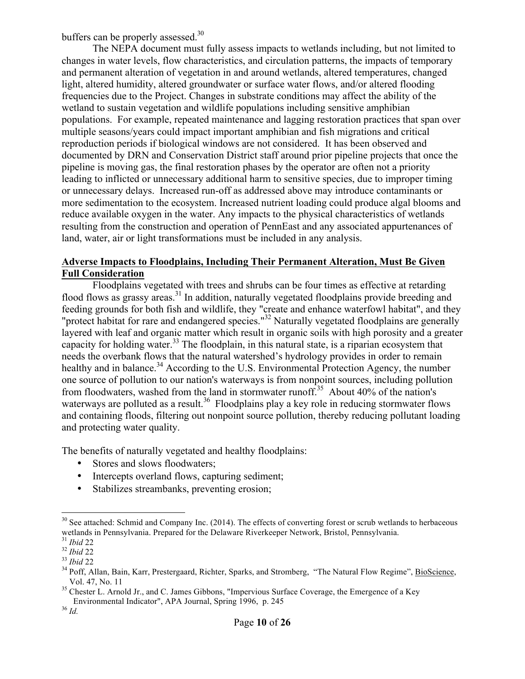buffers can be properly assessed.<sup>30</sup>

The NEPA document must fully assess impacts to wetlands including, but not limited to changes in water levels, flow characteristics, and circulation patterns, the impacts of temporary and permanent alteration of vegetation in and around wetlands, altered temperatures, changed light, altered humidity, altered groundwater or surface water flows, and/or altered flooding frequencies due to the Project. Changes in substrate conditions may affect the ability of the wetland to sustain vegetation and wildlife populations including sensitive amphibian populations. For example, repeated maintenance and lagging restoration practices that span over multiple seasons/years could impact important amphibian and fish migrations and critical reproduction periods if biological windows are not considered. It has been observed and documented by DRN and Conservation District staff around prior pipeline projects that once the pipeline is moving gas, the final restoration phases by the operator are often not a priority leading to inflicted or unnecessary additional harm to sensitive species, due to improper timing or unnecessary delays. Increased run-off as addressed above may introduce contaminants or more sedimentation to the ecosystem. Increased nutrient loading could produce algal blooms and reduce available oxygen in the water. Any impacts to the physical characteristics of wetlands resulting from the construction and operation of PennEast and any associated appurtenances of land, water, air or light transformations must be included in any analysis.

### **Adverse Impacts to Floodplains, Including Their Permanent Alteration, Must Be Given Full Consideration**

Floodplains vegetated with trees and shrubs can be four times as effective at retarding flood flows as grassy areas.<sup>31</sup> In addition, naturally vegetated floodplains provide breeding and feeding grounds for both fish and wildlife, they "create and enhance waterfowl habitat", and they "protect habitat for rare and endangered species."<sup>32</sup> Naturally vegetated floodplains are generally layered with leaf and organic matter which result in organic soils with high porosity and a greater capacity for holding water.<sup>33</sup> The floodplain, in this natural state, is a riparian ecosystem that needs the overbank flows that the natural watershed's hydrology provides in order to remain healthy and in balance.<sup>34</sup> According to the U.S. Environmental Protection Agency, the number one source of pollution to our nation's waterways is from nonpoint sources, including pollution from floodwaters, washed from the land in stormwater runoff.<sup>35</sup> About 40% of the nation's waterways are polluted as a result.<sup>36</sup> Floodplains play a key role in reducing stormwater flows and containing floods, filtering out nonpoint source pollution, thereby reducing pollutant loading and protecting water quality.

The benefits of naturally vegetated and healthy floodplains:

- Stores and slows floodwaters;
- Intercepts overland flows, capturing sediment;
- Stabilizes streambanks, preventing erosion;

 $30$  See attached: Schmid and Company Inc. (2014). The effects of converting forest or scrub wetlands to herbaceous wetlands in Pennsylvania. Prepared for the Delaware Riverkeeper Network, Bristol, Pennsylvania.<br><sup>31</sup> Ibid 22

<sup>&</sup>lt;sup>32</sup> *Ibid* 22<br><sup>33</sup> *Ibid* 22<br><sup>33</sup> *Ibid* 22<br><sup>34</sup> Poff, Allan, Bain, Karr, Prestergaard, Richter, Sparks, and Stromberg, "The Natural Flow Regime", BioScience, Vol. 47, No. 11<br><sup>35</sup> Chester L. Arnold Jr., and C. James Gibbons, "Impervious Surface Coverage, the Emergence of a Key

Environmental Indicator", APA Journal, Spring 1996, p. 245 <sup>36</sup> *Id.*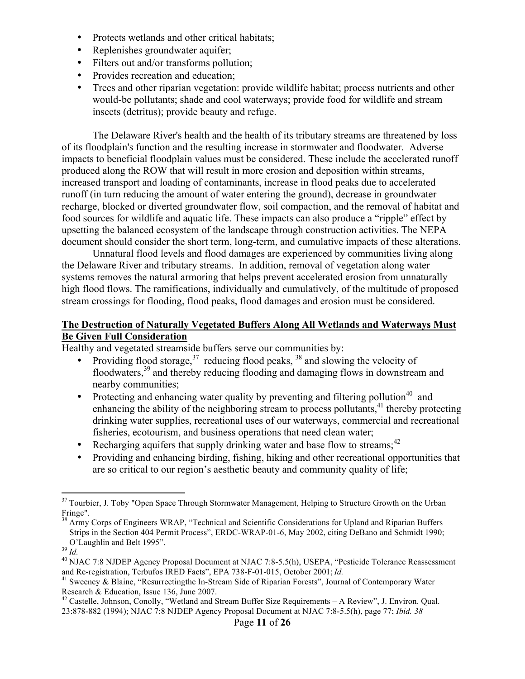- Protects wetlands and other critical habitats;
- Replenishes groundwater aquifer;
- Filters out and/or transforms pollution;
- Provides recreation and education;
- Trees and other riparian vegetation: provide wildlife habitat; process nutrients and other would-be pollutants; shade and cool waterways; provide food for wildlife and stream insects (detritus); provide beauty and refuge.

The Delaware River's health and the health of its tributary streams are threatened by loss of its floodplain's function and the resulting increase in stormwater and floodwater. Adverse impacts to beneficial floodplain values must be considered. These include the accelerated runoff produced along the ROW that will result in more erosion and deposition within streams, increased transport and loading of contaminants, increase in flood peaks due to accelerated runoff (in turn reducing the amount of water entering the ground), decrease in groundwater recharge, blocked or diverted groundwater flow, soil compaction, and the removal of habitat and food sources for wildlife and aquatic life. These impacts can also produce a "ripple" effect by upsetting the balanced ecosystem of the landscape through construction activities. The NEPA document should consider the short term, long-term, and cumulative impacts of these alterations.

Unnatural flood levels and flood damages are experienced by communities living along the Delaware River and tributary streams. In addition, removal of vegetation along water systems removes the natural armoring that helps prevent accelerated erosion from unnaturally high flood flows. The ramifications, individually and cumulatively, of the multitude of proposed stream crossings for flooding, flood peaks, flood damages and erosion must be considered.

# **The Destruction of Naturally Vegetated Buffers Along All Wetlands and Waterways Must Be Given Full Consideration**

Healthy and vegetated streamside buffers serve our communities by:

- Providing flood storage,  $37$  reducing flood peaks,  $38$  and slowing the velocity of floodwaters,<sup>39</sup> and thereby reducing flooding and damaging flows in downstream and nearby communities;
- Protecting and enhancing water quality by preventing and filtering pollution<sup>40</sup> and enhancing the ability of the neighboring stream to process pollutants, $41$  thereby protecting drinking water supplies, recreational uses of our waterways, commercial and recreational fisheries, ecotourism, and business operations that need clean water;
- Recharging aquifers that supply drinking water and base flow to streams; $42$
- Providing and enhancing birding, fishing, hiking and other recreational opportunities that are so critical to our region's aesthetic beauty and community quality of life;

<sup>&</sup>lt;sup>37</sup> Tourbier, J. Toby "Open Space Through Stormwater Management, Helping to Structure Growth on the Urban Fringe".

<sup>&</sup>lt;sup>38</sup> Army Corps of Engineers WRAP, "Technical and Scientific Considerations for Upland and Riparian Buffers Strips in the Section 404 Permit Process", ERDC-WRAP-01-6, May 2002, citing DeBano and Schmidt 1990; O'Laughlin and Belt 1995".<br><sup>39</sup> *Id.* 40 NJAC 7:8 NJDEP Agency Proposal Document at NJAC 7:8-5.5(h), USEPA, "Pesticide Tolerance Reassessment

and Re-registration, Terbufos IRED Facts", EPA 738-F-01-015, October 2001; *Id.* <sup>41</sup> Sweeney & Blaine, "Resurrectingthe In-Stream Side of Riparian Forests", Journal of Contemporary Water

Research & Education, Issue 136, June 2007.

<sup>&</sup>lt;sup>42</sup> Castelle, Johnson, Conolly, "Wetland and Stream Buffer Size Requirements – A Review", J. Environ. Qual. 23:878-882 (1994); NJAC 7:8 NJDEP Agency Proposal Document at NJAC 7:8-5.5(h), page 77; *Ibid. 38*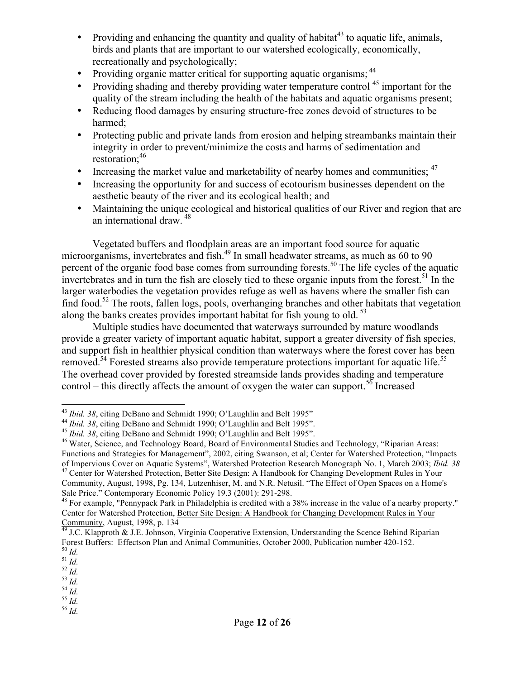- Providing and enhancing the quantity and quality of habitat<sup>43</sup> to aquatic life, animals, birds and plants that are important to our watershed ecologically, economically, recreationally and psychologically;
- Providing organic matter critical for supporting aquatic organisms; <sup>44</sup>
- Providing shading and thereby providing water temperature control <sup>45</sup> important for the quality of the stream including the health of the habitats and aquatic organisms present;
- Reducing flood damages by ensuring structure-free zones devoid of structures to be harmed;
- Protecting public and private lands from erosion and helping streambanks maintain their integrity in order to prevent/minimize the costs and harms of sedimentation and restoration:<sup>46</sup>
- Increasing the market value and marketability of nearby homes and communities;  $47$
- Increasing the opportunity for and success of ecotourism businesses dependent on the aesthetic beauty of the river and its ecological health; and
- Maintaining the unique ecological and historical qualities of our River and region that are an international draw. <sup>48</sup>

Vegetated buffers and floodplain areas are an important food source for aquatic microorganisms, invertebrates and fish.<sup>49</sup> In small headwater streams, as much as  $60$  to 90 percent of the organic food base comes from surrounding forests.<sup>50</sup> The life cycles of the aquatic invertebrates and in turn the fish are closely tied to these organic inputs from the forest.<sup>51</sup> In the larger waterbodies the vegetation provides refuge as well as havens where the smaller fish can find food.<sup>52</sup> The roots, fallen logs, pools, overhanging branches and other habitats that vegetation along the banks creates provides important habitat for fish young to old.<sup>53</sup>

Multiple studies have documented that waterways surrounded by mature woodlands provide a greater variety of important aquatic habitat, support a greater diversity of fish species, and support fish in healthier physical condition than waterways where the forest cover has been removed.<sup>54</sup> Forested streams also provide temperature protections important for aquatic life.<sup>55</sup> The overhead cover provided by forested streamside lands provides shading and temperature control – this directly affects the amount of oxygen the water can support.<sup>56</sup> Increased

 $\overline{a}$ 

<sup>&</sup>lt;sup>43</sup> *Ibid.* 38, citing DeBano and Schmidt 1990; O'Laughlin and Belt 1995"<br><sup>44</sup> *Ibid.* 38, citing DeBano and Schmidt 1990; O'Laughlin and Belt 1995".<br><sup>45</sup> *Ibid.* 38, citing DeBano and Schmidt 1990; O'Laughlin and Belt 1 Functions and Strategies for Management", 2002, citing Swanson, et al; Center for Watershed Protection, "Impacts of Impervious Cover on Aquatic Systems", Watershed Protection Research Monograph No. 1, March 2003; *Ibid. 38* <sup>47</sup> Center for Watershed Protection, Better Site Design: A Handbook for Changing Development Rules in Your

Community, August, 1998, Pg. 134, Lutzenhiser, M. and N.R. Netusil. "The Effect of Open Spaces on a Home's Sale Price." Contemporary Economic Policy 19.3 (2001): 291-298.<br><sup>48</sup> For example, "Pennypack Park in Philadelphia is credited with a 38% increase in the value of a nearby property."

Center for Watershed Protection, Better Site Design: A Handbook for Changing Development Rules in Your Community, August, 1998, p. 134<br><sup>49</sup> J.C. Klapproth & J.E. Johnson, Virginia Cooperative Extension, Understanding the Scence Behind Riparian

Forest Buffers: Effectson Plan and Animal Communities, October 2000, Publication number 420-152.<br><sup>50</sup> *Id.*<br><sup>51</sup> *Id.*<br><sup>52</sup> *Id.*<br><sup>53</sup> *Id.* 55 *Id.* 55 *Id.* 56 *Id*.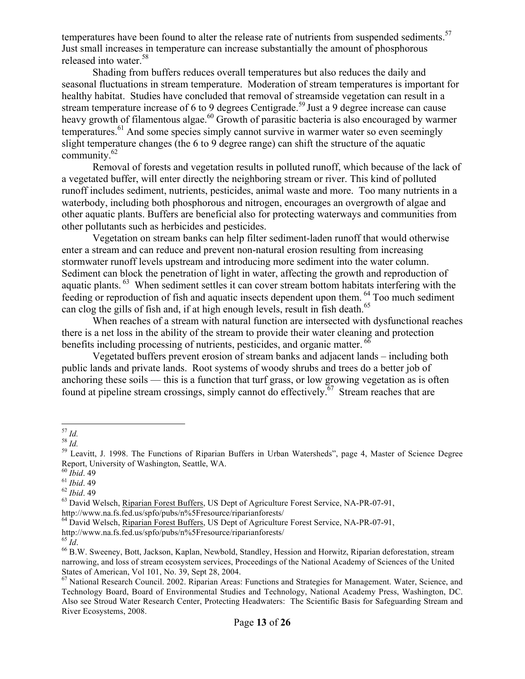temperatures have been found to alter the release rate of nutrients from suspended sediments.<sup>57</sup> Just small increases in temperature can increase substantially the amount of phosphorous released into water.<sup>58</sup>

Shading from buffers reduces overall temperatures but also reduces the daily and seasonal fluctuations in stream temperature. Moderation of stream temperatures is important for healthy habitat. Studies have concluded that removal of streamside vegetation can result in a stream temperature increase of 6 to 9 degrees Centigrade.<sup>59</sup> Just a 9 degree increase can cause heavy growth of filamentous algae.<sup>60</sup> Growth of parasitic bacteria is also encouraged by warmer temperatures.<sup>61</sup> And some species simply cannot survive in warmer water so even seemingly slight temperature changes (the 6 to 9 degree range) can shift the structure of the aquatic community. $62$ 

Removal of forests and vegetation results in polluted runoff, which because of the lack of a vegetated buffer, will enter directly the neighboring stream or river. This kind of polluted runoff includes sediment, nutrients, pesticides, animal waste and more. Too many nutrients in a waterbody, including both phosphorous and nitrogen, encourages an overgrowth of algae and other aquatic plants. Buffers are beneficial also for protecting waterways and communities from other pollutants such as herbicides and pesticides.

Vegetation on stream banks can help filter sediment-laden runoff that would otherwise enter a stream and can reduce and prevent non-natural erosion resulting from increasing stormwater runoff levels upstream and introducing more sediment into the water column. Sediment can block the penetration of light in water, affecting the growth and reproduction of aquatic plants. <sup>63</sup> When sediment settles it can cover stream bottom habitats interfering with the feeding or reproduction of fish and aquatic insects dependent upon them. <sup>64</sup> Too much sediment can clog the gills of fish and, if at high enough levels, result in fish death.<sup>65</sup>

When reaches of a stream with natural function are intersected with dysfunctional reaches there is a net loss in the ability of the stream to provide their water cleaning and protection benefits including processing of nutrients, pesticides, and organic matter. <sup>66</sup>

Vegetated buffers prevent erosion of stream banks and adjacent lands – including both public lands and private lands. Root systems of woody shrubs and trees do a better job of anchoring these soils — this is a function that turf grass, or low growing vegetation as is often found at pipeline stream crossings, simply cannot do effectively.<sup>67</sup> Stream reaches that are

 $^\mathrm{57}$  Id.

<sup>57</sup> *Id.* <sup>58</sup> *Id.* <sup>59</sup> Leavitt, J. 1998. The Functions of Riparian Buffers in Urban Watersheds", page 4, Master of Science Degree Report, University of Washington, Seattle, WA.

<sup>&</sup>lt;sup>61</sup> *Ibid.* 49<br><sup>62</sup> *Ibid.* 49<br><sup>63</sup> David Welsch, <u>Riparian Forest Buffers</u>, US Dept of Agriculture Forest Service, NA-PR-07-91, http://www.na.fs.fed.us/spfo/pubs/n%5Fresource/riparianforests/

<sup>&</sup>lt;sup>64</sup> David Welsch, Riparian Forest Buffers, US Dept of Agriculture Forest Service, NA-PR-07-91,

http://www.na.fs.fed.us/spfo/pubs/n%5Fresource/riparianforests/<br><sup>65</sup> *Id*. 66 *Id*. 66 B.W. Sweeney, Bott, Jackson, Kaplan, Newbold, Standley, Hession and Horwitz, Riparian deforestation, stream narrowing, and loss of stream ecosystem services, Proceedings of the National Academy of Sciences of the United States of American, Vol 101, No. 39, Sept 28, 2004.

<sup>67</sup> National Research Council. 2002. Riparian Areas: Functions and Strategies for Management. Water, Science, and Technology Board, Board of Environmental Studies and Technology, National Academy Press, Washington, DC. Also see Stroud Water Research Center, Protecting Headwaters: The Scientific Basis for Safeguarding Stream and River Ecosystems, 2008.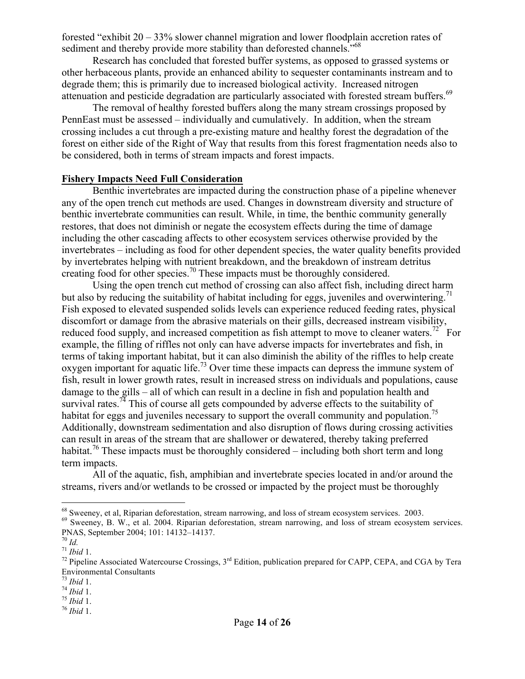forested "exhibit 20 – 33% slower channel migration and lower floodplain accretion rates of sediment and thereby provide more stability than deforested channels."<sup>68</sup>

Research has concluded that forested buffer systems, as opposed to grassed systems or other herbaceous plants, provide an enhanced ability to sequester contaminants instream and to degrade them; this is primarily due to increased biological activity. Increased nitrogen attenuation and pesticide degradation are particularly associated with forested stream buffers.<sup>69</sup>

The removal of healthy forested buffers along the many stream crossings proposed by PennEast must be assessed – individually and cumulatively. In addition, when the stream crossing includes a cut through a pre-existing mature and healthy forest the degradation of the forest on either side of the Right of Way that results from this forest fragmentation needs also to be considered, both in terms of stream impacts and forest impacts.

#### **Fishery Impacts Need Full Consideration**

Benthic invertebrates are impacted during the construction phase of a pipeline whenever any of the open trench cut methods are used. Changes in downstream diversity and structure of benthic invertebrate communities can result. While, in time, the benthic community generally restores, that does not diminish or negate the ecosystem effects during the time of damage including the other cascading affects to other ecosystem services otherwise provided by the invertebrates – including as food for other dependent species, the water quality benefits provided by invertebrates helping with nutrient breakdown, and the breakdown of instream detritus creating food for other species.<sup>70</sup> These impacts must be thoroughly considered.

Using the open trench cut method of crossing can also affect fish, including direct harm but also by reducing the suitability of habitat including for eggs, juveniles and overwintering.<sup>71</sup> Fish exposed to elevated suspended solids levels can experience reduced feeding rates, physical discomfort or damage from the abrasive materials on their gills, decreased instream visibility, reduced food supply, and increased competition as fish attempt to move to cleaner waters.<sup>72</sup> For example, the filling of riffles not only can have adverse impacts for invertebrates and fish, in terms of taking important habitat, but it can also diminish the ability of the riffles to help create oxygen important for aquatic life.<sup>73</sup> Over time these impacts can depress the immune system of fish, result in lower growth rates, result in increased stress on individuals and populations, cause damage to the gills – all of which can result in a decline in fish and population health and survival rates.<sup>74</sup> This of course all gets compounded by adverse effects to the suitability of habitat for eggs and juveniles necessary to support the overall community and population.<sup>75</sup> Additionally, downstream sedimentation and also disruption of flows during crossing activities can result in areas of the stream that are shallower or dewatered, thereby taking preferred habitat.<sup>76</sup> These impacts must be thoroughly considered – including both short term and long term impacts.

All of the aquatic, fish, amphibian and invertebrate species located in and/or around the streams, rivers and/or wetlands to be crossed or impacted by the project must be thoroughly

<sup>&</sup>lt;sup>68</sup> Sweeney, et al, Riparian deforestation, stream narrowing, and loss of stream ecosystem services. 2003.

<sup>&</sup>lt;sup>69</sup> Sweeney, B. W., et al. 2004. Riparian deforestation, stream narrowing, and loss of stream ecosystem services. PNAS, September 2004; 101: 14132–14137.<br><sup>70</sup> *Id.*<br><sup>71</sup> *Ibid* 1.<br><sup>72</sup> Pipeline Associated Watercourse Crossings, 3<sup>rd</sup> Edition, publication prepared for CAPP, CEPA, and CGA by Tera

Environmental Consultants<br> $^{73}$  *Ibid* 1.

<sup>73</sup> *Ibid* 1. 74 *Ibid* 1. 75 *Ibid* 1. 76 *Ibid* 1.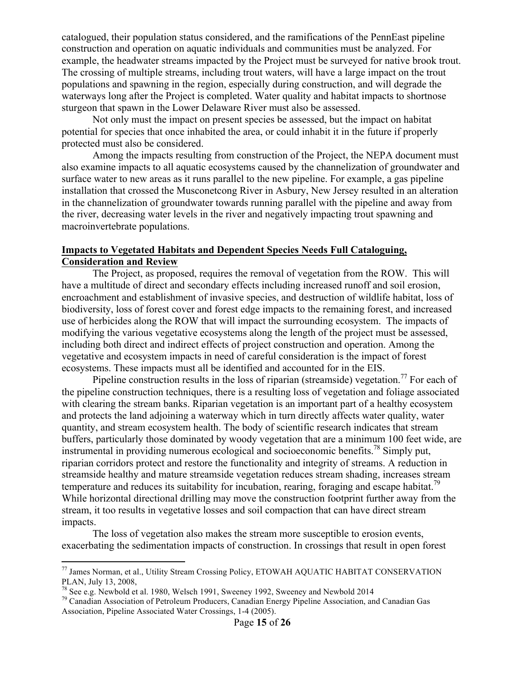catalogued, their population status considered, and the ramifications of the PennEast pipeline construction and operation on aquatic individuals and communities must be analyzed. For example, the headwater streams impacted by the Project must be surveyed for native brook trout. The crossing of multiple streams, including trout waters, will have a large impact on the trout populations and spawning in the region, especially during construction, and will degrade the waterways long after the Project is completed. Water quality and habitat impacts to shortnose sturgeon that spawn in the Lower Delaware River must also be assessed.

Not only must the impact on present species be assessed, but the impact on habitat potential for species that once inhabited the area, or could inhabit it in the future if properly protected must also be considered.

Among the impacts resulting from construction of the Project, the NEPA document must also examine impacts to all aquatic ecosystems caused by the channelization of groundwater and surface water to new areas as it runs parallel to the new pipeline. For example, a gas pipeline installation that crossed the Musconetcong River in Asbury, New Jersey resulted in an alteration in the channelization of groundwater towards running parallel with the pipeline and away from the river, decreasing water levels in the river and negatively impacting trout spawning and macroinvertebrate populations.

## **Impacts to Vegetated Habitats and Dependent Species Needs Full Cataloguing, Consideration and Review**

The Project, as proposed, requires the removal of vegetation from the ROW. This will have a multitude of direct and secondary effects including increased runoff and soil erosion, encroachment and establishment of invasive species, and destruction of wildlife habitat, loss of biodiversity, loss of forest cover and forest edge impacts to the remaining forest, and increased use of herbicides along the ROW that will impact the surrounding ecosystem. The impacts of modifying the various vegetative ecosystems along the length of the project must be assessed, including both direct and indirect effects of project construction and operation. Among the vegetative and ecosystem impacts in need of careful consideration is the impact of forest ecosystems. These impacts must all be identified and accounted for in the EIS.

Pipeline construction results in the loss of riparian (streamside) vegetation.<sup>77</sup> For each of the pipeline construction techniques, there is a resulting loss of vegetation and foliage associated with clearing the stream banks. Riparian vegetation is an important part of a healthy ecosystem and protects the land adjoining a waterway which in turn directly affects water quality, water quantity, and stream ecosystem health. The body of scientific research indicates that stream buffers, particularly those dominated by woody vegetation that are a minimum 100 feet wide, are instrumental in providing numerous ecological and socioeconomic benefits.78 Simply put, riparian corridors protect and restore the functionality and integrity of streams. A reduction in streamside healthy and mature streamside vegetation reduces stream shading, increases stream temperature and reduces its suitability for incubation, rearing, foraging and escape habitat.<sup>79</sup> While horizontal directional drilling may move the construction footprint further away from the stream, it too results in vegetative losses and soil compaction that can have direct stream impacts.

The loss of vegetation also makes the stream more susceptible to erosion events, exacerbating the sedimentation impacts of construction. In crossings that result in open forest

 $77$  James Norman, et al., Utility Stream Crossing Policy, ETOWAH AQUATIC HABITAT CONSERVATION PLAN, July 13, 2008,<br><sup>78</sup> See e.g. Newbold et al. 1980, Welsch 1991, Sweeney 1992, Sweeney and Newbold 2014

<sup>&</sup>lt;sup>79</sup> Canadian Association of Petroleum Producers, Canadian Energy Pipeline Association, and Canadian Gas Association, Pipeline Associated Water Crossings, 1-4 (2005).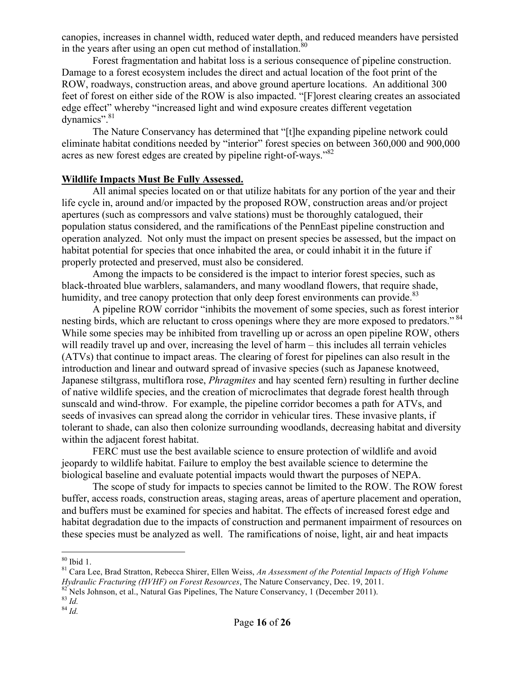canopies, increases in channel width, reduced water depth, and reduced meanders have persisted in the years after using an open cut method of installation. $80$ 

Forest fragmentation and habitat loss is a serious consequence of pipeline construction. Damage to a forest ecosystem includes the direct and actual location of the foot print of the ROW, roadways, construction areas, and above ground aperture locations. An additional 300 feet of forest on either side of the ROW is also impacted. "[F]orest clearing creates an associated edge effect" whereby "increased light and wind exposure creates different vegetation dynamics".<sup>81</sup>

The Nature Conservancy has determined that "[t]he expanding pipeline network could eliminate habitat conditions needed by "interior" forest species on between 360,000 and 900,000 acres as new forest edges are created by pipeline right-of-ways."<sup>82</sup>

#### **Wildlife Impacts Must Be Fully Assessed.**

All animal species located on or that utilize habitats for any portion of the year and their life cycle in, around and/or impacted by the proposed ROW, construction areas and/or project apertures (such as compressors and valve stations) must be thoroughly catalogued, their population status considered, and the ramifications of the PennEast pipeline construction and operation analyzed. Not only must the impact on present species be assessed, but the impact on habitat potential for species that once inhabited the area, or could inhabit it in the future if properly protected and preserved, must also be considered.

Among the impacts to be considered is the impact to interior forest species, such as black-throated blue warblers, salamanders, and many woodland flowers, that require shade, humidity, and tree canopy protection that only deep forest environments can provide. $83$ 

A pipeline ROW corridor "inhibits the movement of some species, such as forest interior nesting birds, which are reluctant to cross openings where they are more exposed to predators."<sup>84</sup> While some species may be inhibited from travelling up or across an open pipeline ROW, others will readily travel up and over, increasing the level of harm – this includes all terrain vehicles (ATVs) that continue to impact areas. The clearing of forest for pipelines can also result in the introduction and linear and outward spread of invasive species (such as Japanese knotweed, Japanese stiltgrass, multiflora rose, *Phragmites* and hay scented fern) resulting in further decline of native wildlife species, and the creation of microclimates that degrade forest health through sunscald and wind-throw. For example, the pipeline corridor becomes a path for ATVs, and seeds of invasives can spread along the corridor in vehicular tires. These invasive plants, if tolerant to shade, can also then colonize surrounding woodlands, decreasing habitat and diversity within the adjacent forest habitat.

FERC must use the best available science to ensure protection of wildlife and avoid jeopardy to wildlife habitat. Failure to employ the best available science to determine the biological baseline and evaluate potential impacts would thwart the purposes of NEPA.

The scope of study for impacts to species cannot be limited to the ROW. The ROW forest buffer, access roads, construction areas, staging areas, areas of aperture placement and operation, and buffers must be examined for species and habitat. The effects of increased forest edge and habitat degradation due to the impacts of construction and permanent impairment of resources on these species must be analyzed as well. The ramifications of noise, light, air and heat impacts

<sup>&</sup>lt;sup>80</sup> Ibid 1.<br><sup>81</sup> Cara Lee, Brad Stratton, Rebecca Shirer, Ellen Weiss, *An Assessment of the Potential Impacts of High Volume Hydraulic Fracturing (HVHF) on Forest Resources*, The Nature Conservancy, Dec. 19, 2011. <sup>82</sup> Nels Johnson, et al., Natural Gas Pipelines, The Nature Conservancy, 1 (December 2011). <sup>83</sup> *Id.* 84 *Id.*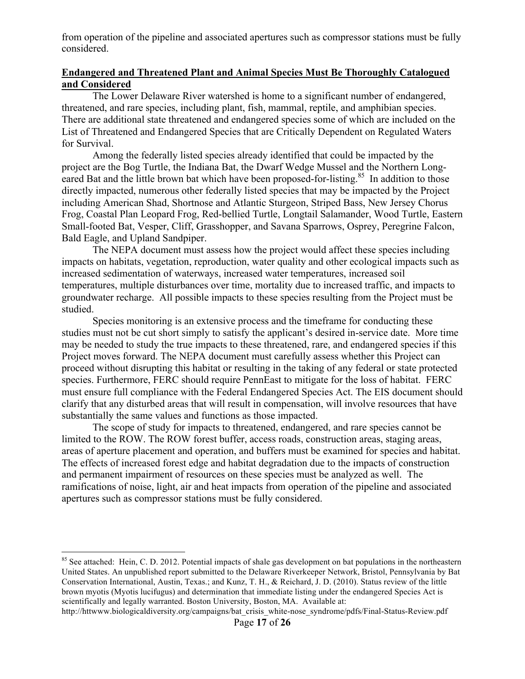from operation of the pipeline and associated apertures such as compressor stations must be fully considered.

# **Endangered and Threatened Plant and Animal Species Must Be Thoroughly Catalogued and Considered**

The Lower Delaware River watershed is home to a significant number of endangered, threatened, and rare species, including plant, fish, mammal, reptile, and amphibian species. There are additional state threatened and endangered species some of which are included on the List of Threatened and Endangered Species that are Critically Dependent on Regulated Waters for Survival.

Among the federally listed species already identified that could be impacted by the project are the Bog Turtle, the Indiana Bat, the Dwarf Wedge Mussel and the Northern Longeared Bat and the little brown bat which have been proposed-for-listing.<sup>85</sup> In addition to those directly impacted, numerous other federally listed species that may be impacted by the Project including American Shad, Shortnose and Atlantic Sturgeon, Striped Bass, New Jersey Chorus Frog, Coastal Plan Leopard Frog, Red-bellied Turtle, Longtail Salamander, Wood Turtle, Eastern Small-footed Bat, Vesper, Cliff, Grasshopper, and Savana Sparrows, Osprey, Peregrine Falcon, Bald Eagle, and Upland Sandpiper.

The NEPA document must assess how the project would affect these species including impacts on habitats, vegetation, reproduction, water quality and other ecological impacts such as increased sedimentation of waterways, increased water temperatures, increased soil temperatures, multiple disturbances over time, mortality due to increased traffic, and impacts to groundwater recharge. All possible impacts to these species resulting from the Project must be studied.

Species monitoring is an extensive process and the timeframe for conducting these studies must not be cut short simply to satisfy the applicant's desired in-service date. More time may be needed to study the true impacts to these threatened, rare, and endangered species if this Project moves forward. The NEPA document must carefully assess whether this Project can proceed without disrupting this habitat or resulting in the taking of any federal or state protected species. Furthermore, FERC should require PennEast to mitigate for the loss of habitat. FERC must ensure full compliance with the Federal Endangered Species Act. The EIS document should clarify that any disturbed areas that will result in compensation, will involve resources that have substantially the same values and functions as those impacted.

The scope of study for impacts to threatened, endangered, and rare species cannot be limited to the ROW. The ROW forest buffer, access roads, construction areas, staging areas, areas of aperture placement and operation, and buffers must be examined for species and habitat. The effects of increased forest edge and habitat degradation due to the impacts of construction and permanent impairment of resources on these species must be analyzed as well. The ramifications of noise, light, air and heat impacts from operation of the pipeline and associated apertures such as compressor stations must be fully considered.

http://httwww.biologicaldiversity.org/campaigns/bat\_crisis\_white-nose\_syndrome/pdfs/Final-Status-Review.pdf

<sup>&</sup>lt;sup>85</sup> See attached: Hein, C. D. 2012. Potential impacts of shale gas development on bat populations in the northeastern United States. An unpublished report submitted to the Delaware Riverkeeper Network, Bristol, Pennsylvania by Bat Conservation International, Austin, Texas.; and Kunz, T. H., & Reichard, J. D. (2010). Status review of the little brown myotis (Myotis lucifugus) and determination that immediate listing under the endangered Species Act is scientifically and legally warranted. Boston University, Boston, MA. Available at: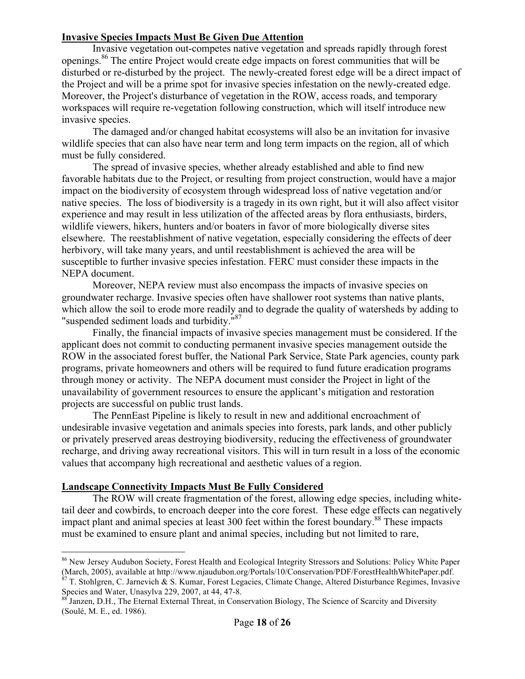# **Invasive Species Impacts Must Be Given Due Attention**

Invasive vegetation out-competes native vegetation and spreads rapidly through forest openings.86 The entire Project would create edge impacts on forest communities that will be disturbed or re-disturbed by the project. The newly-created forest edge will be a direct impact of the Project and will be a prime spot for invasive species infestation on the newly-created edge. Moreover, the Project's disturbance of vegetation in the ROW, access roads, and temporary workspaces will require re-vegetation following construction, which will itself introduce new invasive species.

The damaged and/or changed habitat ecosystems will also be an invitation for invasive wildlife species that can also have near term and long term impacts on the region, all of which must be fully considered.

The spread of invasive species, whether already established and able to find new favorable habitats due to the Project, or resulting from project construction, would have a major impact on the biodiversity of ecosystem through widespread loss of native vegetation and/or native species. The loss of biodiversity is a tragedy in its own right, but it will also affect visitor experience and may result in less utilization of the affected areas by flora enthusiasts, birders, wildlife viewers, hikers, hunters and/or boaters in favor of more biologically diverse sites elsewhere. The reestablishment of native vegetation, especially considering the effects of deer herbivory, will take many years, and until reestablishment is achieved the area will be susceptible to further invasive species infestation. FERC must consider these impacts in the NEPA document.

Moreover, NEPA review must also encompass the impacts of invasive species on groundwater recharge. Invasive species often have shallower root systems than native plants, which allow the soil to erode more readily and to degrade the quality of watersheds by adding to "suspended sediment loads and turbidity."<sup>87</sup>

Finally, the financial impacts of invasive species management must be considered. If the applicant does not commit to conducting permanent invasive species management outside the ROW in the associated forest buffer, the National Park Service, State Park agencies, county park programs, private homeowners and others will be required to fund future eradication programs through money or activity. The NEPA document must consider the Project in light of the unavailability of government resources to ensure the applicant's mitigation and restoration projects are successful on public trust lands.

The PennEast Pipeline is likely to result in new and additional encroachment of undesirable invasive vegetation and animals species into forests, park lands, and other publicly or privately preserved areas destroying biodiversity, reducing the effectiveness of groundwater recharge, and driving away recreational visitors. This will in turn result in a loss of the economic values that accompany high recreational and aesthetic values of a region.

# **Landscape Connectivity Impacts Must Be Fully Considered**

 $\overline{a}$ 

The ROW will create fragmentation of the forest, allowing edge species, including whitetail deer and cowbirds, to encroach deeper into the core forest. These edge effects can negatively impact plant and animal species at least 300 feet within the forest boundary.<sup>88</sup> These impacts must be examined to ensure plant and animal species, including but not limited to rare,

<sup>86</sup> New Jersey Audubon Society, Forest Health and Ecological Integrity Stressors and Solutions: Policy White Paper (March, 2005), available at http://www.njaudubon.org/Portals/10/Conservation/PDF/ForestHealthWhitePaper.pdf.

 $87$  T. Stohlgren, C. Jarnevich  $\&$  S. Kumar, Forest Legacies, Climate Change, Altered Disturbance Regimes, Invasive Species and Water, Unasylva 229, 2007, at 44, 47-8.<br><sup>88</sup> Janzen, D.H., The Eternal External Threat, in Conservation Biology, The Science of Scarcity and Diversity

<sup>(</sup>Soulé, M. E., ed. 1986).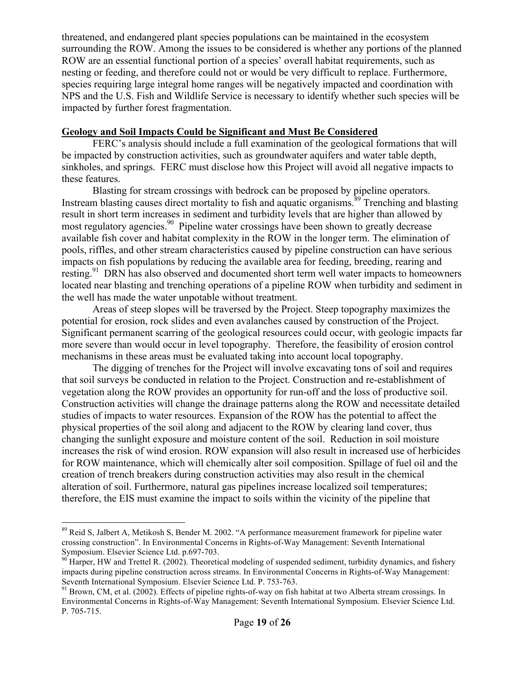threatened, and endangered plant species populations can be maintained in the ecosystem surrounding the ROW. Among the issues to be considered is whether any portions of the planned ROW are an essential functional portion of a species' overall habitat requirements, such as nesting or feeding, and therefore could not or would be very difficult to replace. Furthermore, species requiring large integral home ranges will be negatively impacted and coordination with NPS and the U.S. Fish and Wildlife Service is necessary to identify whether such species will be impacted by further forest fragmentation.

## **Geology and Soil Impacts Could be Significant and Must Be Considered**

FERC's analysis should include a full examination of the geological formations that will be impacted by construction activities, such as groundwater aquifers and water table depth, sinkholes, and springs. FERC must disclose how this Project will avoid all negative impacts to these features.

Blasting for stream crossings with bedrock can be proposed by pipeline operators. Instream blasting causes direct mortality to fish and aquatic organisms. <sup>89</sup> Trenching and blasting result in short term increases in sediment and turbidity levels that are higher than allowed by most regulatory agencies. <sup>90</sup> Pipeline water crossings have been shown to greatly decrease available fish cover and habitat complexity in the ROW in the longer term. The elimination of pools, riffles, and other stream characteristics caused by pipeline construction can have serious impacts on fish populations by reducing the available area for feeding, breeding, rearing and resting.<sup>91</sup> DRN has also observed and documented short term well water impacts to homeowners located near blasting and trenching operations of a pipeline ROW when turbidity and sediment in the well has made the water unpotable without treatment.

Areas of steep slopes will be traversed by the Project. Steep topography maximizes the potential for erosion, rock slides and even avalanches caused by construction of the Project. Significant permanent scarring of the geological resources could occur, with geologic impacts far more severe than would occur in level topography. Therefore, the feasibility of erosion control mechanisms in these areas must be evaluated taking into account local topography.

The digging of trenches for the Project will involve excavating tons of soil and requires that soil surveys be conducted in relation to the Project. Construction and re-establishment of vegetation along the ROW provides an opportunity for run-off and the loss of productive soil. Construction activities will change the drainage patterns along the ROW and necessitate detailed studies of impacts to water resources. Expansion of the ROW has the potential to affect the physical properties of the soil along and adjacent to the ROW by clearing land cover, thus changing the sunlight exposure and moisture content of the soil. Reduction in soil moisture increases the risk of wind erosion. ROW expansion will also result in increased use of herbicides for ROW maintenance, which will chemically alter soil composition. Spillage of fuel oil and the creation of trench breakers during construction activities may also result in the chemical alteration of soil. Furthermore, natural gas pipelines increase localized soil temperatures; therefore, the EIS must examine the impact to soils within the vicinity of the pipeline that

<sup>&</sup>lt;sup>89</sup> Reid S, Jalbert A, Metikosh S, Bender M. 2002. "A performance measurement framework for pipeline water crossing construction". In Environmental Concerns in Rights-of-Way Management: Seventh International Symposium. Elsevier Science Ltd. p.697-703.<br><sup>90</sup> Harper, HW and Trettel R. (2002). Theoretical modeling of suspended sediment, turbidity dynamics, and fishery

impacts during pipeline construction across streams. In Environmental Concerns in Rights-of-Way Management: Seventh International Symposium. Elsevier Science Ltd. P. 753-763.<br><sup>91</sup> Brown, CM, et al. (2002). Effects of pipeline rights-of-way on fish habitat at two Alberta stream crossings. In

Environmental Concerns in Rights-of-Way Management: Seventh International Symposium. Elsevier Science Ltd. P. 705-715.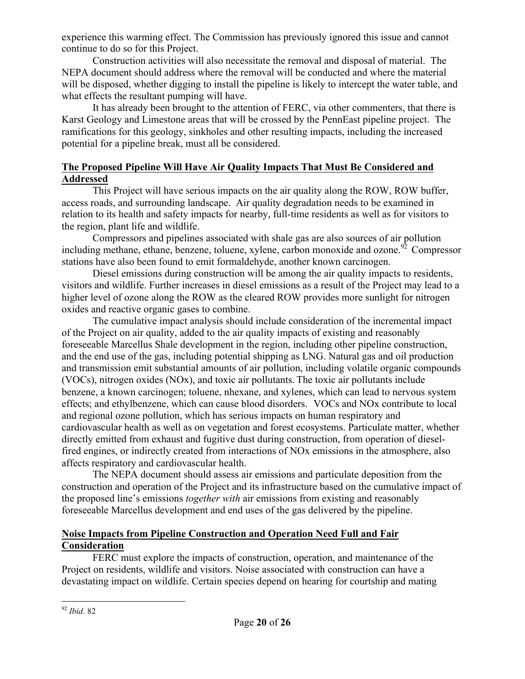experience this warming effect. The Commission has previously ignored this issue and cannot continue to do so for this Project.

Construction activities will also necessitate the removal and disposal of material. The NEPA document should address where the removal will be conducted and where the material will be disposed, whether digging to install the pipeline is likely to intercept the water table, and what effects the resultant pumping will have.

It has already been brought to the attention of FERC, via other commenters, that there is Karst Geology and Limestone areas that will be crossed by the PennEast pipeline project. The ramifications for this geology, sinkholes and other resulting impacts, including the increased potential for a pipeline break, must all be considered.

# **The Proposed Pipeline Will Have Air Quality Impacts That Must Be Considered and Addressed**

This Project will have serious impacts on the air quality along the ROW, ROW buffer, access roads, and surrounding landscape. Air quality degradation needs to be examined in relation to its health and safety impacts for nearby, full-time residents as well as for visitors to the region, plant life and wildlife.

Compressors and pipelines associated with shale gas are also sources of air pollution including methane, ethane, benzene, toluene, xylene, carbon monoxide and ozone.<sup>92</sup> Compressor stations have also been found to emit formaldehyde, another known carcinogen.

Diesel emissions during construction will be among the air quality impacts to residents, visitors and wildlife. Further increases in diesel emissions as a result of the Project may lead to a higher level of ozone along the ROW as the cleared ROW provides more sunlight for nitrogen oxides and reactive organic gases to combine.

The cumulative impact analysis should include consideration of the incremental impact of the Project on air quality, added to the air quality impacts of existing and reasonably foreseeable Marcellus Shale development in the region, including other pipeline construction, and the end use of the gas, including potential shipping as LNG. Natural gas and oil production and transmission emit substantial amounts of air pollution, including volatile organic compounds (VOCs), nitrogen oxides (NOx), and toxic air pollutants. The toxic air pollutants include benzene, a known carcinogen; toluene, nhexane, and xylenes, which can lead to nervous system effects; and ethylbenzene, which can cause blood disorders. VOCs and NOx contribute to local and regional ozone pollution, which has serious impacts on human respiratory and cardiovascular health as well as on vegetation and forest ecosystems. Particulate matter, whether directly emitted from exhaust and fugitive dust during construction, from operation of dieselfired engines, or indirectly created from interactions of NOx emissions in the atmosphere, also affects respiratory and cardiovascular health.

The NEPA document should assess air emissions and particulate deposition from the construction and operation of the Project and its infrastructure based on the cumulative impact of the proposed line's emissions *together with* air emissions from existing and reasonably foreseeable Marcellus development and end uses of the gas delivered by the pipeline.

# **Noise Impacts from Pipeline Construction and Operation Need Full and Fair Consideration**

FERC must explore the impacts of construction, operation, and maintenance of the Project on residents, wildlife and visitors. Noise associated with construction can have a devastating impact on wildlife. Certain species depend on hearing for courtship and mating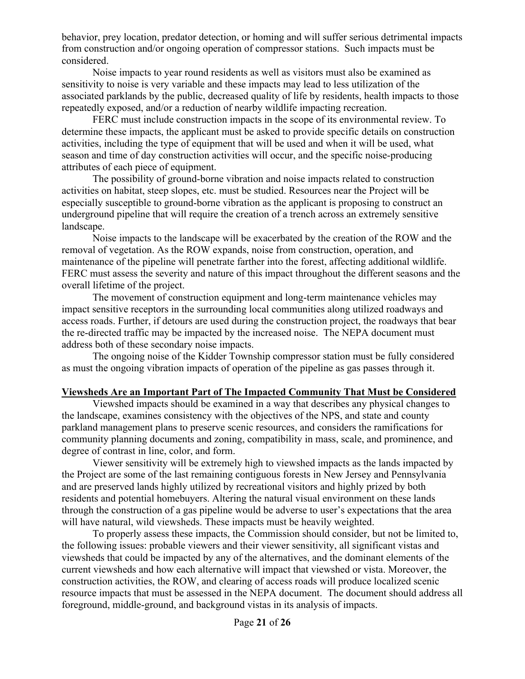behavior, prey location, predator detection, or homing and will suffer serious detrimental impacts from construction and/or ongoing operation of compressor stations. Such impacts must be considered.

Noise impacts to year round residents as well as visitors must also be examined as sensitivity to noise is very variable and these impacts may lead to less utilization of the associated parklands by the public, decreased quality of life by residents, health impacts to those repeatedly exposed, and/or a reduction of nearby wildlife impacting recreation.

FERC must include construction impacts in the scope of its environmental review. To determine these impacts, the applicant must be asked to provide specific details on construction activities, including the type of equipment that will be used and when it will be used, what season and time of day construction activities will occur, and the specific noise-producing attributes of each piece of equipment.

The possibility of ground-borne vibration and noise impacts related to construction activities on habitat, steep slopes, etc. must be studied. Resources near the Project will be especially susceptible to ground-borne vibration as the applicant is proposing to construct an underground pipeline that will require the creation of a trench across an extremely sensitive landscape.

Noise impacts to the landscape will be exacerbated by the creation of the ROW and the removal of vegetation. As the ROW expands, noise from construction, operation, and maintenance of the pipeline will penetrate farther into the forest, affecting additional wildlife. FERC must assess the severity and nature of this impact throughout the different seasons and the overall lifetime of the project.

The movement of construction equipment and long-term maintenance vehicles may impact sensitive receptors in the surrounding local communities along utilized roadways and access roads. Further, if detours are used during the construction project, the roadways that bear the re-directed traffic may be impacted by the increased noise. The NEPA document must address both of these secondary noise impacts.

The ongoing noise of the Kidder Township compressor station must be fully considered as must the ongoing vibration impacts of operation of the pipeline as gas passes through it.

# **Viewsheds Are an Important Part of The Impacted Community That Must be Considered**

Viewshed impacts should be examined in a way that describes any physical changes to the landscape, examines consistency with the objectives of the NPS, and state and county parkland management plans to preserve scenic resources, and considers the ramifications for community planning documents and zoning, compatibility in mass, scale, and prominence, and degree of contrast in line, color, and form.

Viewer sensitivity will be extremely high to viewshed impacts as the lands impacted by the Project are some of the last remaining contiguous forests in New Jersey and Pennsylvania and are preserved lands highly utilized by recreational visitors and highly prized by both residents and potential homebuyers. Altering the natural visual environment on these lands through the construction of a gas pipeline would be adverse to user's expectations that the area will have natural, wild viewsheds. These impacts must be heavily weighted.

To properly assess these impacts, the Commission should consider, but not be limited to, the following issues: probable viewers and their viewer sensitivity, all significant vistas and viewsheds that could be impacted by any of the alternatives, and the dominant elements of the current viewsheds and how each alternative will impact that viewshed or vista. Moreover, the construction activities, the ROW, and clearing of access roads will produce localized scenic resource impacts that must be assessed in the NEPA document. The document should address all foreground, middle-ground, and background vistas in its analysis of impacts.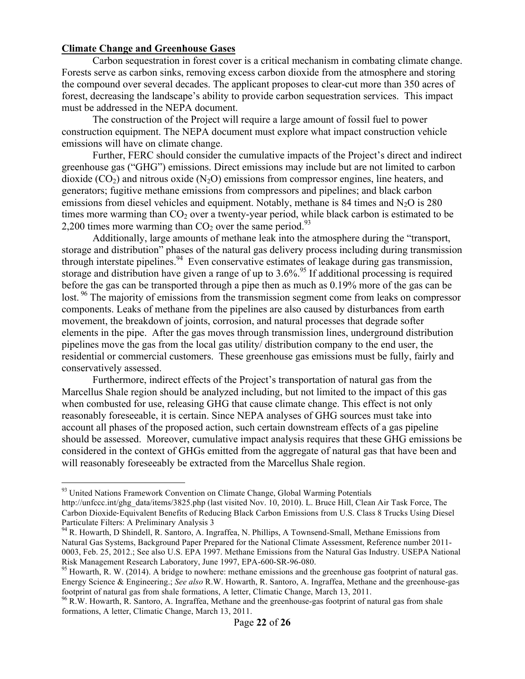## **Climate Change and Greenhouse Gases**

 $\overline{a}$ 

Carbon sequestration in forest cover is a critical mechanism in combating climate change. Forests serve as carbon sinks, removing excess carbon dioxide from the atmosphere and storing the compound over several decades. The applicant proposes to clear-cut more than 350 acres of forest, decreasing the landscape's ability to provide carbon sequestration services. This impact must be addressed in the NEPA document.

The construction of the Project will require a large amount of fossil fuel to power construction equipment. The NEPA document must explore what impact construction vehicle emissions will have on climate change.

Further, FERC should consider the cumulative impacts of the Project's direct and indirect greenhouse gas ("GHG") emissions. Direct emissions may include but are not limited to carbon dioxide  $(CO_2)$  and nitrous oxide  $(N_2O)$  emissions from compressor engines, line heaters, and generators; fugitive methane emissions from compressors and pipelines; and black carbon emissions from diesel vehicles and equipment. Notably, methane is 84 times and  $N_2O$  is 280 times more warming than  $CO<sub>2</sub>$  over a twenty-year period, while black carbon is estimated to be 2,200 times more warming than  $CO<sub>2</sub>$  over the same period.<sup>93</sup>

Additionally, large amounts of methane leak into the atmosphere during the "transport, storage and distribution" phases of the natural gas delivery process including during transmission through interstate pipelines.<sup>94</sup> Even conservative estimates of leakage during gas transmission, storage and distribution have given a range of up to  $3.6\%$ .<sup>95</sup> If additional processing is required before the gas can be transported through a pipe then as much as 0.19% more of the gas can be lost.<sup>96</sup> The majority of emissions from the transmission segment come from leaks on compressor components. Leaks of methane from the pipelines are also caused by disturbances from earth movement, the breakdown of joints, corrosion, and natural processes that degrade softer elements in the pipe. After the gas moves through transmission lines, underground distribution pipelines move the gas from the local gas utility/ distribution company to the end user, the residential or commercial customers. These greenhouse gas emissions must be fully, fairly and conservatively assessed.

Furthermore, indirect effects of the Project's transportation of natural gas from the Marcellus Shale region should be analyzed including, but not limited to the impact of this gas when combusted for use, releasing GHG that cause climate change. This effect is not only reasonably foreseeable, it is certain. Since NEPA analyses of GHG sources must take into account all phases of the proposed action, such certain downstream effects of a gas pipeline should be assessed. Moreover, cumulative impact analysis requires that these GHG emissions be considered in the context of GHGs emitted from the aggregate of natural gas that have been and will reasonably foreseeably be extracted from the Marcellus Shale region.

<sup>&</sup>lt;sup>93</sup> United Nations Framework Convention on Climate Change, Global Warming Potentials http://unfccc.int/ghg\_data/items/3825.php (last visited Nov. 10, 2010). L. Bruce Hill, Clean Air Task Force, The Carbon Dioxide-Equivalent Benefits of Reducing Black Carbon Emissions from U.S. Class 8 Trucks Using Diesel Particulate Filters: A Preliminary Analysis 3

<sup>&</sup>lt;sup>94</sup> R. Howarth, D Shindell, R. Santoro, A. Ingraffea, N. Phillips, A Townsend-Small, Methane Emissions from Natural Gas Systems, Background Paper Prepared for the National Climate Assessment, Reference number 2011- 0003, Feb. 25, 2012.; See also U.S. EPA 1997. Methane Emissions from the Natural Gas Industry. USEPA National Risk Management Research Laboratory, June 1997, EPA-600-SR-96-080.<br><sup>95</sup> Howarth, R. W. (2014). A bridge to nowhere: methane emissions and the greenhouse gas footprint of natural gas.

Energy Science & Engineering.; *See also* R.W. Howarth, R. Santoro, A. Ingraffea, Methane and the greenhouse-gas footprint of natural gas from shale formations, A letter, Climatic Change, March 13, 2011.

<sup>&</sup>lt;sup>96</sup> R.W. Howarth, R. Santoro, A. Ingraffea, Methane and the greenhouse-gas footprint of natural gas from shale formations, A letter, Climatic Change, March 13, 2011.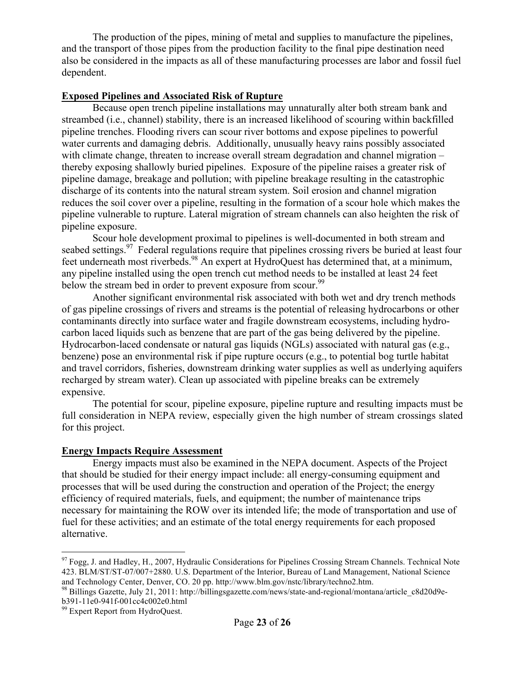The production of the pipes, mining of metal and supplies to manufacture the pipelines, and the transport of those pipes from the production facility to the final pipe destination need also be considered in the impacts as all of these manufacturing processes are labor and fossil fuel dependent.

# **Exposed Pipelines and Associated Risk of Rupture**

Because open trench pipeline installations may unnaturally alter both stream bank and streambed (i.e., channel) stability, there is an increased likelihood of scouring within backfilled pipeline trenches. Flooding rivers can scour river bottoms and expose pipelines to powerful water currents and damaging debris. Additionally, unusually heavy rains possibly associated with climate change, threaten to increase overall stream degradation and channel migration – thereby exposing shallowly buried pipelines. Exposure of the pipeline raises a greater risk of pipeline damage, breakage and pollution; with pipeline breakage resulting in the catastrophic discharge of its contents into the natural stream system. Soil erosion and channel migration reduces the soil cover over a pipeline, resulting in the formation of a scour hole which makes the pipeline vulnerable to rupture. Lateral migration of stream channels can also heighten the risk of pipeline exposure.

Scour hole development proximal to pipelines is well-documented in both stream and seabed settings.<sup>97</sup> Federal regulations require that pipelines crossing rivers be buried at least four feet underneath most riverbeds.<sup>98</sup> An expert at HydroQuest has determined that, at a minimum, any pipeline installed using the open trench cut method needs to be installed at least 24 feet below the stream bed in order to prevent exposure from scour.<sup>99</sup>

Another significant environmental risk associated with both wet and dry trench methods of gas pipeline crossings of rivers and streams is the potential of releasing hydrocarbons or other contaminants directly into surface water and fragile downstream ecosystems, including hydrocarbon laced liquids such as benzene that are part of the gas being delivered by the pipeline. Hydrocarbon-laced condensate or natural gas liquids (NGLs) associated with natural gas (e.g., benzene) pose an environmental risk if pipe rupture occurs (e.g., to potential bog turtle habitat and travel corridors, fisheries, downstream drinking water supplies as well as underlying aquifers recharged by stream water). Clean up associated with pipeline breaks can be extremely expensive.

The potential for scour, pipeline exposure, pipeline rupture and resulting impacts must be full consideration in NEPA review, especially given the high number of stream crossings slated for this project.

#### **Energy Impacts Require Assessment**

Energy impacts must also be examined in the NEPA document. Aspects of the Project that should be studied for their energy impact include: all energy-consuming equipment and processes that will be used during the construction and operation of the Project; the energy efficiency of required materials, fuels, and equipment; the number of maintenance trips necessary for maintaining the ROW over its intended life; the mode of transportation and use of fuel for these activities; and an estimate of the total energy requirements for each proposed alternative.

 $97$  Fogg, J. and Hadley, H., 2007, Hydraulic Considerations for Pipelines Crossing Stream Channels. Technical Note 423. BLM/ST/ST-07/007+2880. U.S. Department of the Interior, Bureau of Land Management, National Science and Technology Center, Denver, CO. 20 pp. http://www.blm.gov/nstc/library/techno2.htm.

<sup>98</sup> Billings Gazette, July 21, 2011: http://billingsgazette.com/news/state-and-regional/montana/article\_c8d20d9e-<br>b391-11e0-941f-001cc4c002e0.html

 $99$  Expert Report from HydroQuest.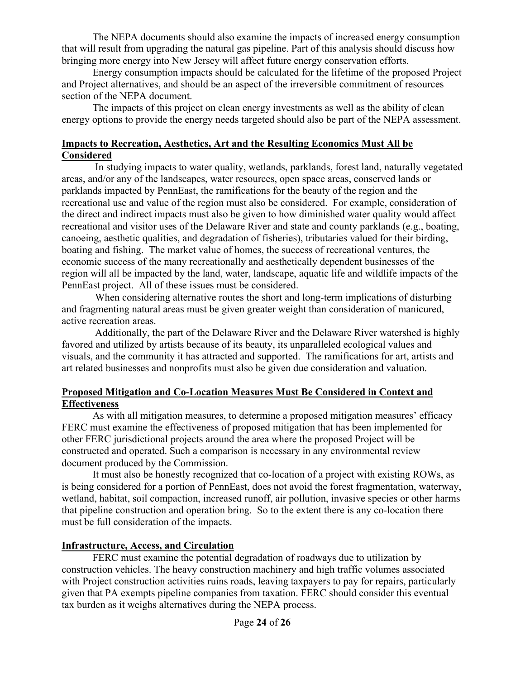The NEPA documents should also examine the impacts of increased energy consumption that will result from upgrading the natural gas pipeline. Part of this analysis should discuss how bringing more energy into New Jersey will affect future energy conservation efforts.

Energy consumption impacts should be calculated for the lifetime of the proposed Project and Project alternatives, and should be an aspect of the irreversible commitment of resources section of the NEPA document.

The impacts of this project on clean energy investments as well as the ability of clean energy options to provide the energy needs targeted should also be part of the NEPA assessment.

# **Impacts to Recreation, Aesthetics, Art and the Resulting Economics Must All be Considered**

In studying impacts to water quality, wetlands, parklands, forest land, naturally vegetated areas, and/or any of the landscapes, water resources, open space areas, conserved lands or parklands impacted by PennEast, the ramifications for the beauty of the region and the recreational use and value of the region must also be considered. For example, consideration of the direct and indirect impacts must also be given to how diminished water quality would affect recreational and visitor uses of the Delaware River and state and county parklands (e.g., boating, canoeing, aesthetic qualities, and degradation of fisheries), tributaries valued for their birding, boating and fishing. The market value of homes, the success of recreational ventures, the economic success of the many recreationally and aesthetically dependent businesses of the region will all be impacted by the land, water, landscape, aquatic life and wildlife impacts of the PennEast project. All of these issues must be considered.

When considering alternative routes the short and long-term implications of disturbing and fragmenting natural areas must be given greater weight than consideration of manicured, active recreation areas.

Additionally, the part of the Delaware River and the Delaware River watershed is highly favored and utilized by artists because of its beauty, its unparalleled ecological values and visuals, and the community it has attracted and supported. The ramifications for art, artists and art related businesses and nonprofits must also be given due consideration and valuation.

# **Proposed Mitigation and Co-Location Measures Must Be Considered in Context and Effectiveness**

As with all mitigation measures, to determine a proposed mitigation measures' efficacy FERC must examine the effectiveness of proposed mitigation that has been implemented for other FERC jurisdictional projects around the area where the proposed Project will be constructed and operated. Such a comparison is necessary in any environmental review document produced by the Commission.

It must also be honestly recognized that co-location of a project with existing ROWs, as is being considered for a portion of PennEast, does not avoid the forest fragmentation, waterway, wetland, habitat, soil compaction, increased runoff, air pollution, invasive species or other harms that pipeline construction and operation bring. So to the extent there is any co-location there must be full consideration of the impacts.

# **Infrastructure, Access, and Circulation**

FERC must examine the potential degradation of roadways due to utilization by construction vehicles. The heavy construction machinery and high traffic volumes associated with Project construction activities ruins roads, leaving taxpayers to pay for repairs, particularly given that PA exempts pipeline companies from taxation. FERC should consider this eventual tax burden as it weighs alternatives during the NEPA process.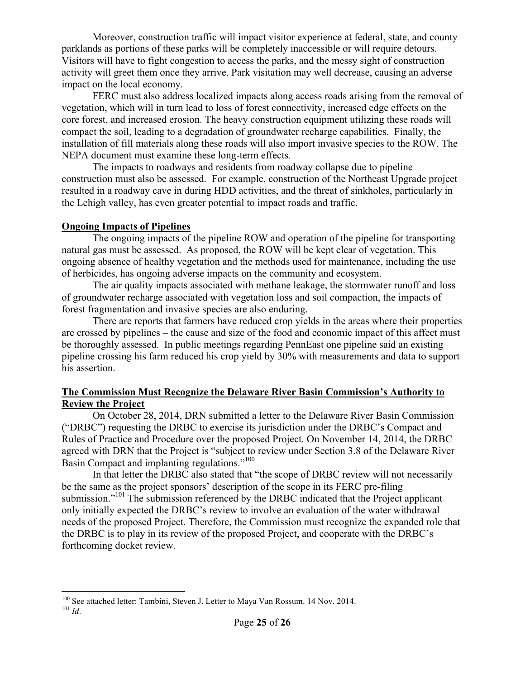Moreover, construction traffic will impact visitor experience at federal, state, and county parklands as portions of these parks will be completely inaccessible or will require detours. Visitors will have to fight congestion to access the parks, and the messy sight of construction activity will greet them once they arrive. Park visitation may well decrease, causing an adverse impact on the local economy.

FERC must also address localized impacts along access roads arising from the removal of vegetation, which will in turn lead to loss of forest connectivity, increased edge effects on the core forest, and increased erosion. The heavy construction equipment utilizing these roads will compact the soil, leading to a degradation of groundwater recharge capabilities. Finally, the installation of fill materials along these roads will also import invasive species to the ROW. The NEPA document must examine these long-term effects.

The impacts to roadways and residents from roadway collapse due to pipeline construction must also be assessed. For example, construction of the Northeast Upgrade project resulted in a roadway cave in during HDD activities, and the threat of sinkholes, particularly in the Lehigh valley, has even greater potential to impact roads and traffic.

# **Ongoing Impacts of Pipelines**

 $\overline{a}$ 

The ongoing impacts of the pipeline ROW and operation of the pipeline for transporting natural gas must be assessed. As proposed, the ROW will be kept clear of vegetation. This ongoing absence of healthy vegetation and the methods used for maintenance, including the use of herbicides, has ongoing adverse impacts on the community and ecosystem.

The air quality impacts associated with methane leakage, the stormwater runoff and loss of groundwater recharge associated with vegetation loss and soil compaction, the impacts of forest fragmentation and invasive species are also enduring.

There are reports that farmers have reduced crop yields in the areas where their properties are crossed by pipelines – the cause and size of the food and economic impact of this affect must be thoroughly assessed. In public meetings regarding PennEast one pipeline said an existing pipeline crossing his farm reduced his crop yield by 30% with measurements and data to support his assertion.

# **The Commission Must Recognize the Delaware River Basin Commission's Authority to Review the Project**

On October 28, 2014, DRN submitted a letter to the Delaware River Basin Commission ("DRBC") requesting the DRBC to exercise its jurisdiction under the DRBC's Compact and Rules of Practice and Procedure over the proposed Project. On November 14, 2014, the DRBC agreed with DRN that the Project is "subject to review under Section 3.8 of the Delaware River Basin Compact and implanting regulations."100

In that letter the DRBC also stated that "the scope of DRBC review will not necessarily be the same as the project sponsors' description of the scope in its FERC pre-filing submission."<sup>101</sup> The submission referenced by the DRBC indicated that the Project applicant only initially expected the DRBC's review to involve an evaluation of the water withdrawal needs of the proposed Project. Therefore, the Commission must recognize the expanded role that the DRBC is to play in its review of the proposed Project, and cooperate with the DRBC's forthcoming docket review.

<sup>100</sup> See attached letter: Tambini, Steven J. Letter to Maya Van Rossum. 14 Nov. 2014. 101 *Id*.